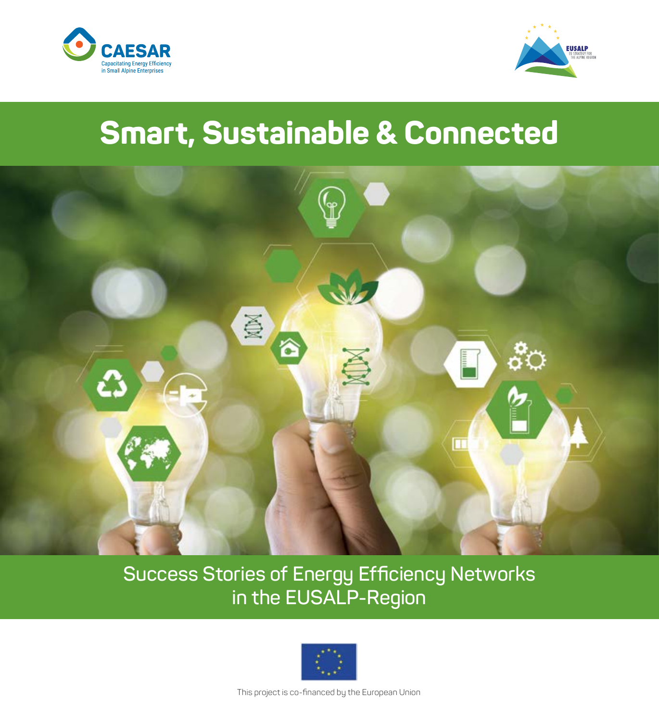



## **Smart, Sustainable & Connected**



**Success Stories of Energy Efficiency Networks in the EUSALP-Region**



This project is co-financed by the European Union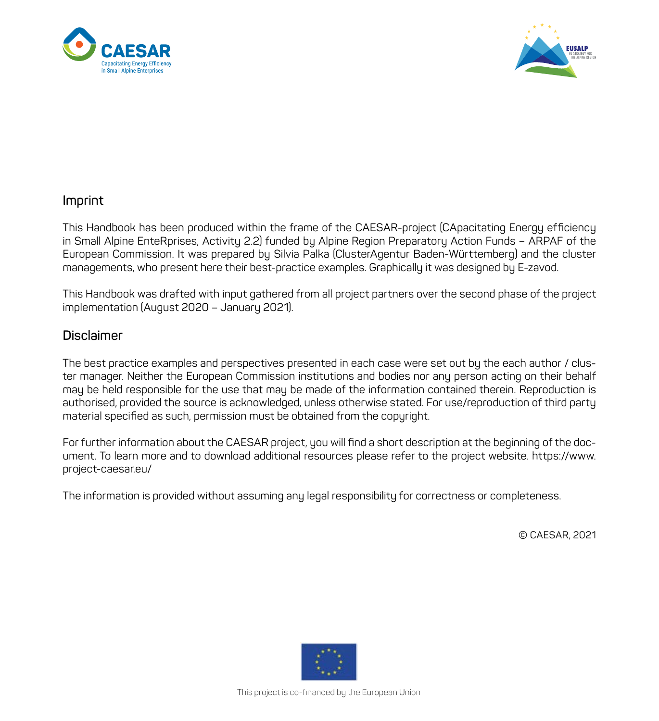



#### **Imprint**

This Handbook has been produced within the frame of the CAESAR-project (CApacitating Energy efficiency in Small Alpine EnteRprises, Activity 2.2) funded by Alpine Region Preparatory Action Funds – ARPAF of the European Commission. It was prepared by Silvia Palka (ClusterAgentur Baden-Württemberg) and the cluster managements, who present here their best-practice examples. Graphically it was designed by E-zavod.

This Handbook was drafted with input gathered from all project partners over the second phase of the project implementation (August 2020 – January 2021).

#### **Disclaimer**

The best practice examples and perspectives presented in each case were set out by the each author / cluster manager. Neither the European Commission institutions and bodies nor any person acting on their behalf may be held responsible for the use that may be made of the information contained therein. Reproduction is authorised, provided the source is acknowledged, unless otherwise stated. For use/reproduction of third party material specified as such, permission must be obtained from the copyright.

For further information about the CAESAR project, you will find a short description at the beginning of the document. To learn more and to download additional resources please refer to the project website. https://www. project-caesar.eu/

The information is provided without assuming any legal responsibility for correctness or completeness.

© CAESAR, 2021

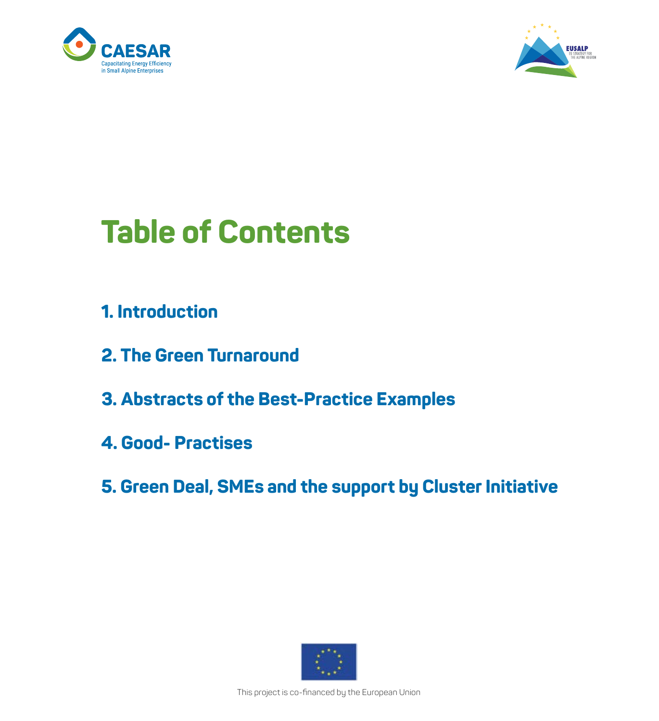



## **Table of Contents**

- **1. Introduction**
- **2. The Green Turnaround**
- **3. Abstracts of the Best-Practice Examples**
- **4. Good- Practises**
- **5. Green Deal, SMEs and the support by Cluster Initiative**



This project is co-financed by the European Union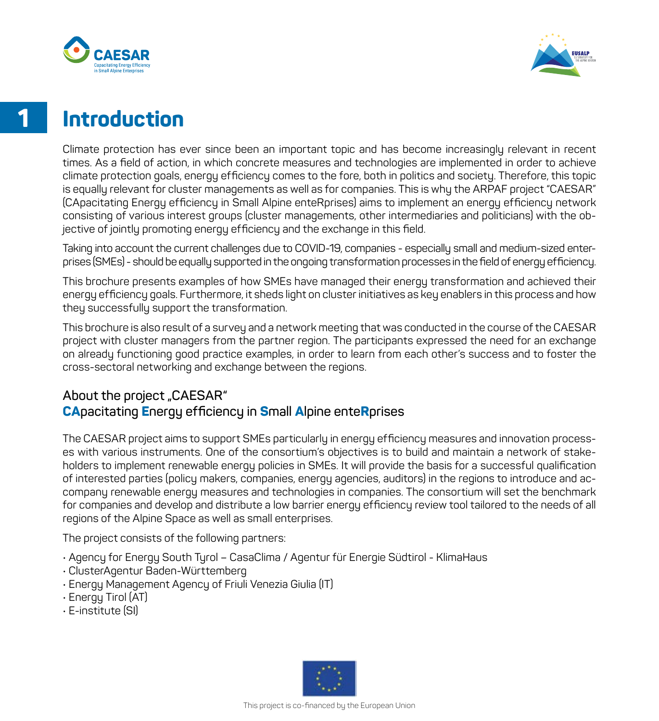



### **Introduction**

Climate protection has ever since been an important topic and has become increasingly relevant in recent times. As a field of action, in which concrete measures and technologies are implemented in order to achieve climate protection goals, energy efficiency comes to the fore, both in politics and society. Therefore, this topic is equally relevant for cluster managements as well as for companies. This is why the ARPAF project "CAESAR" (CApacitating Energy efficiency in Small Alpine enteRprises) aims to implement an energy efficiency network consisting of various interest groups (cluster managements, other intermediaries and politicians) with the objective of jointly promoting energy efficiency and the exchange in this field.

Taking into account the current challenges due to COVID-19, companies - especially small and medium-sized enterprises (SMEs) - should be equally supported in the ongoing transformation processes in the field of energy efficiency.

This brochure presents examples of how SMEs have managed their energy transformation and achieved their energy efficiency goals. Furthermore, it sheds light on cluster initiatives as key enablers in this process and how they successfully support the transformation.

This brochure is also result of a survey and a network meeting that was conducted in the course of the CAESAR project with cluster managers from the partner region. The participants expressed the need for an exchange on already functioning good practice examples, in order to learn from each other's success and to foster the cross-sectoral networking and exchange between the regions.

#### About the project "CAESAR" **CApacitating Energy efficiency in Small Alpine enteRprises**

The CAESAR project aims to support SMEs particularly in energy efficiency measures and innovation processes with various instruments. One of the consortium's objectives is to build and maintain a network of stakeholders to implement renewable energy policies in SMEs. It will provide the basis for a successful qualification of interested parties (policy makers, companies, energy agencies, auditors) in the regions to introduce and accompany renewable energy measures and technologies in companies. The consortium will set the benchmark for companies and develop and distribute a low barrier energy efficiency review tool tailored to the needs of all regions of the Alpine Space as well as small enterprises.

The project consists of the following partners:

- Agency for Energy South Tyrol CasaClima / Agentur für Energie Südtirol KlimaHaus
- ClusterAgentur Baden-Württemberg
- Energy Management Agency of Friuli Venezia Giulia (IT)
- Energy Tirol (AT)
- E-institute (SI)

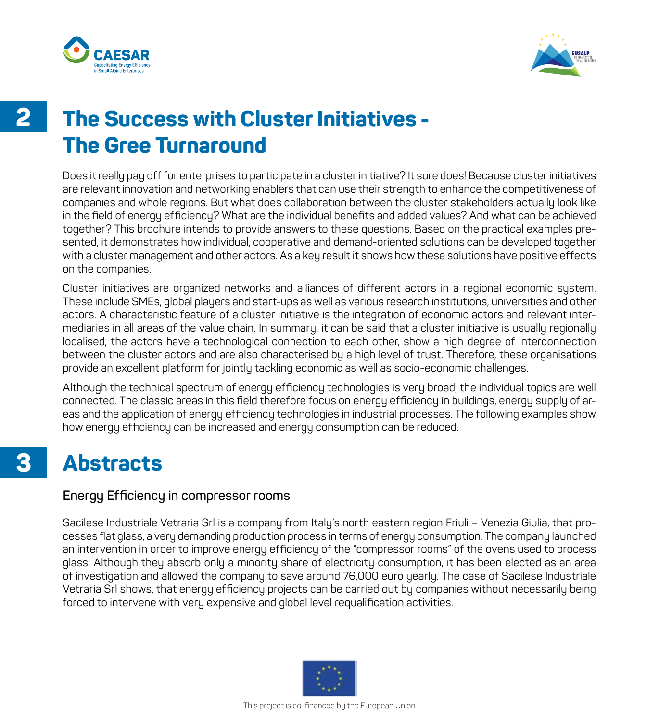



**3**

### **The Success with Cluster Initiatives - The Gree Turnaround**

Does it really pay off for enterprises to participate in a cluster initiative? It sure does! Because cluster initiatives are relevant innovation and networking enablers that can use their strength to enhance the competitiveness of companies and whole regions. But what does collaboration between the cluster stakeholders actually look like in the field of energy efficiency? What are the individual benefits and added values? And what can be achieved together? This brochure intends to provide answers to these questions. Based on the practical examples presented, it demonstrates how individual, cooperative and demand-oriented solutions can be developed together with a cluster management and other actors. As a key result it shows how these solutions have positive effects on the companies.

Cluster initiatives are organized networks and alliances of different actors in a regional economic system. These include SMEs, global players and start-ups as well as various research institutions, universities and other actors. A characteristic feature of a cluster initiative is the integration of economic actors and relevant intermediaries in all areas of the value chain. In summary, it can be said that a cluster initiative is usually regionally localised, the actors have a technological connection to each other, show a high degree of interconnection between the cluster actors and are also characterised by a high level of trust. Therefore, these organisations provide an excellent platform for jointly tackling economic as well as socio-economic challenges.

Although the technical spectrum of energy efficiency technologies is very broad, the individual topics are well connected. The classic areas in this field therefore focus on energy efficiency in buildings, energy supply of areas and the application of energy efficiency technologies in industrial processes. The following examples show how energy efficiency can be increased and energy consumption can be reduced.

### **Abstracts**

#### **Energy Efficiency in compressor rooms**

Sacilese Industriale Vetraria Srl is a company from Italy's north eastern region Friuli – Venezia Giulia, that processes flat glass, a very demanding production process in terms of energy consumption. The company launched an intervention in order to improve energy efficiency of the "compressor rooms" of the ovens used to process glass. Although they absorb only a minority share of electricity consumption, it has been elected as an area of investigation and allowed the company to save around 76,000 euro yearly. The case of Sacilese Industriale Vetraria Srl shows, that energy efficiency projects can be carried out by companies without necessarily being forced to intervene with very expensive and global level requalification activities.

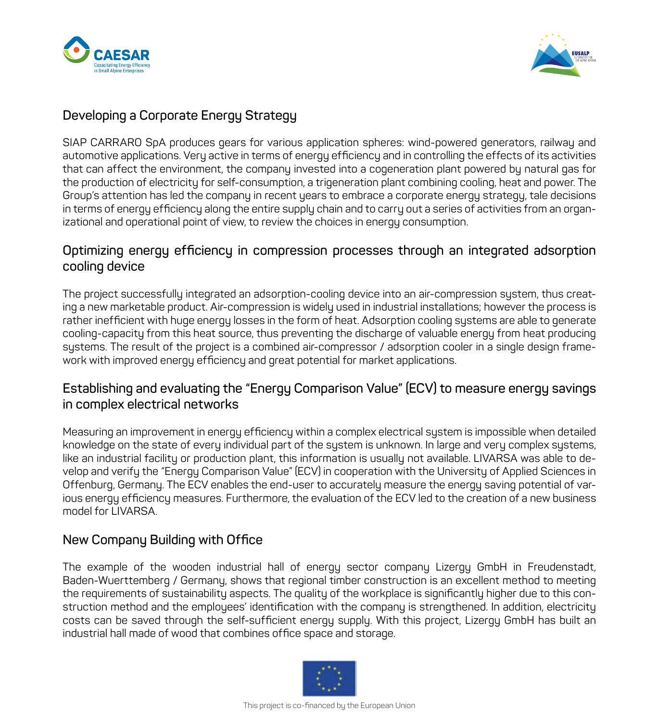



#### **Developing a Corporate Energy Strategy**

SIAP CARRARO SpA produces gears for various application spheres: wind-powered generators, railway and automotive applications. Very active in terms of energy efficiency and in controlling the effects of its activities that can affect the environment, the company invested into a cogeneration plant powered by natural gas for the production of electricity for self-consumption, a trigeneration plant combining cooling, heat and power. The Group's attention has led the company in recent years to embrace a corporate energy strategy, tale decisions in terms of energy efficiency along the entire supply chain and to carry out a series of activities from an organizational and operational point of view, to review the choices in energy consumption.

#### **Optimizing energy efficiency in compression processes through an integrated adsorption cooling device**

The project successfully integrated an adsorption-cooling device into an air-compression system, thus creating a new marketable product. Air-compression is widely used in industrial installations; however the process is rather inefficient with huge energy losses in the form of heat. Adsorption cooling systems are able to generate cooling-capacity from this heat source, thus preventing the discharge of valuable energy from heat producing systems. The result of the project is a combined air-compressor / adsorption cooler in a single design framework with improved energy efficiency and great potential for market applications.

#### **Establishing and evaluating the "Energy Comparison Value" (ECV) to measure energy savings in complex electrical networks**

Measuring an improvement in energy efficiency within a complex electrical system is impossible when detailed knowledge on the state of every individual part of the system is unknown. In large and very complex systems, like an industrial facility or production plant, this information is usually not available. LIVARSA was able to develop and verify the "Energy Comparison Value" (ECV) in cooperation with the University of Applied Sciences in Offenburg, Germany. The ECV enables the end-user to accurately measure the energy saving potential of various energy efficiency measures. Furthermore, the evaluation of the ECV led to the creation of a new business model for LIVARSA.

#### **New Company Building with Office**

The example of the wooden industrial hall of energy sector company Lizergy GmbH in Freudenstadt, Baden-Wuerttemberg / Germany, shows that regional timber construction is an excellent method to meeting the requirements of sustainability aspects. The quality of the workplace is significantly higher due to this construction method and the employees' identification with the company is strengthened. In addition, electricity costs can be saved through the self-sufficient energy supply. With this project, Lizergy GmbH has built an industrial hall made of wood that combines office space and storage.

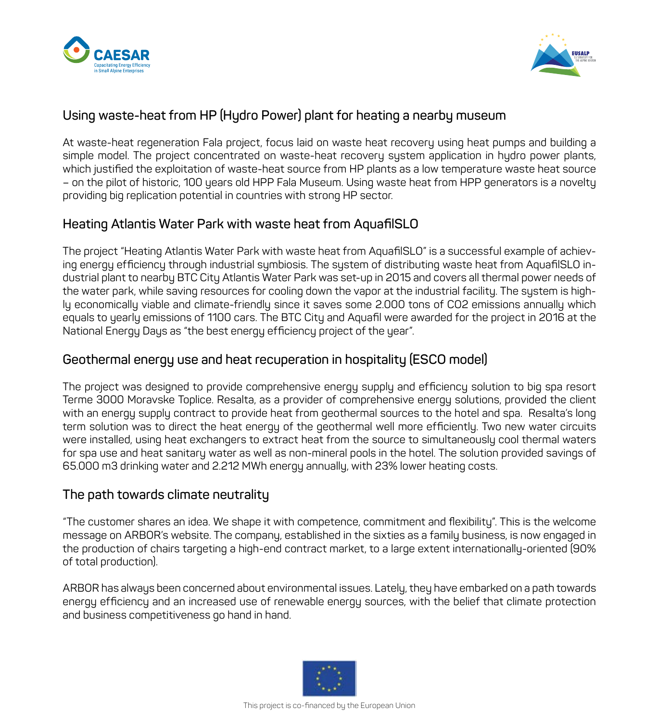



#### **Using waste-heat from HP (Hydro Power) plant for heating a nearby museum**

At waste-heat regeneration Fala project, focus laid on waste heat recovery using heat pumps and building a simple model. The project concentrated on waste-heat recovery system application in hydro power plants, which justified the exploitation of waste-heat source from HP plants as a low temperature waste heat source – on the pilot of historic, 100 years old HPP Fala Museum. Using waste heat from HPP generators is a novelty providing big replication potential in countries with strong HP sector.

#### **Heating Atlantis Water Park with waste heat from AquafilSLO**

The project "Heating Atlantis Water Park with waste heat from AquafilSLO" is a successful example of achieving energy efficiency through industrial symbiosis. The system of distributing waste heat from AquafilSLO industrial plant to nearby BTC City Atlantis Water Park was set-up in 2015 and covers all thermal power needs of the water park, while saving resources for cooling down the vapor at the industrial facility. The system is highly economically viable and climate-friendly since it saves some 2.000 tons of CO2 emissions annually which equals to yearly emissions of 1100 cars. The BTC City and Aquafil were awarded for the project in 2016 at the National Energy Days as "the best energy efficiency project of the year".

#### **Geothermal energy use and heat recuperation in hospitality (ESCO model)**

The project was designed to provide comprehensive energy supply and efficiency solution to big spa resort Terme 3000 Moravske Toplice. Resalta, as a provider of comprehensive energy solutions, provided the client with an energy supply contract to provide heat from geothermal sources to the hotel and spa. Resalta's long term solution was to direct the heat energy of the geothermal well more efficiently. Two new water circuits were installed, using heat exchangers to extract heat from the source to simultaneously cool thermal waters for spa use and heat sanitary water as well as non-mineral pools in the hotel. The solution provided savings of 65.000 m3 drinking water and 2.212 MWh energy annually, with 23% lower heating costs.

#### **The path towards climate neutrality**

"The customer shares an idea. We shape it with competence, commitment and flexibility". This is the welcome message on ARBOR's website. The company, established in the sixties as a family business, is now engaged in the production of chairs targeting a high-end contract market, to a large extent internationally-oriented (90% of total production).

ARBOR has always been concerned about environmental issues. Lately, they have embarked on a path towards energy efficiency and an increased use of renewable energy sources, with the belief that climate protection and business competitiveness go hand in hand.

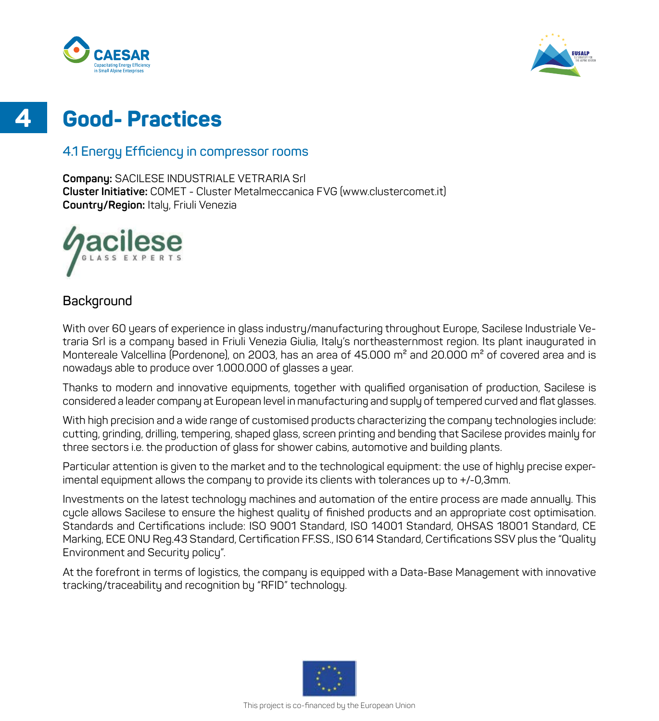**4**



### **Good- Practices**

#### **4.1 Energy Efficiency in compressor rooms**

**Company:** SACILESE INDUSTRIALE VETRARIA Srl **Cluster Initiative:** COMET - Cluster Metalmeccanica FVG (www.clustercomet.it) **Country/Region:** Italy, Friuli Venezia



#### **Background**

With over 60 years of experience in glass industry/manufacturing throughout Europe, Sacilese Industriale Vetraria Srl is a company based in Friuli Venezia Giulia, Italy's northeasternmost region. Its plant inaugurated in Montereale Valcellina (Pordenone), on 2003, has an area of 45.000 m<sup>2</sup> and 20.000 m<sup>2</sup> of covered area and is nowadays able to produce over 1.000.000 of glasses a year.

Thanks to modern and innovative equipments, together with qualified organisation of production, Sacilese is considered a leader company at European level in manufacturing and supply of tempered curved and flat glasses.

With high precision and a wide range of customised products characterizing the company technologies include: cutting, grinding, drilling, tempering, shaped glass, screen printing and bending that Sacilese provides mainly for three sectors i.e. the production of glass for shower cabins, automotive and building plants.

Particular attention is given to the market and to the technological equipment: the use of highly precise experimental equipment allows the company to provide its clients with tolerances up to +/-0,3mm.

Investments on the latest technology machines and automation of the entire process are made annually. This cycle allows Sacilese to ensure the highest quality of finished products and an appropriate cost optimisation. Standards and Certifications include: ISO 9001 Standard, ISO 14001 Standard, OHSAS 18001 Standard, CE Marking, ECE ONU Reg.43 Standard, Certification FF.SS., ISO 614 Standard, Certifications SSV plus the "Quality Environment and Security policy".

At the forefront in terms of logistics, the company is equipped with a Data-Base Management with innovative tracking/traceability and recognition by "RFID" technology.

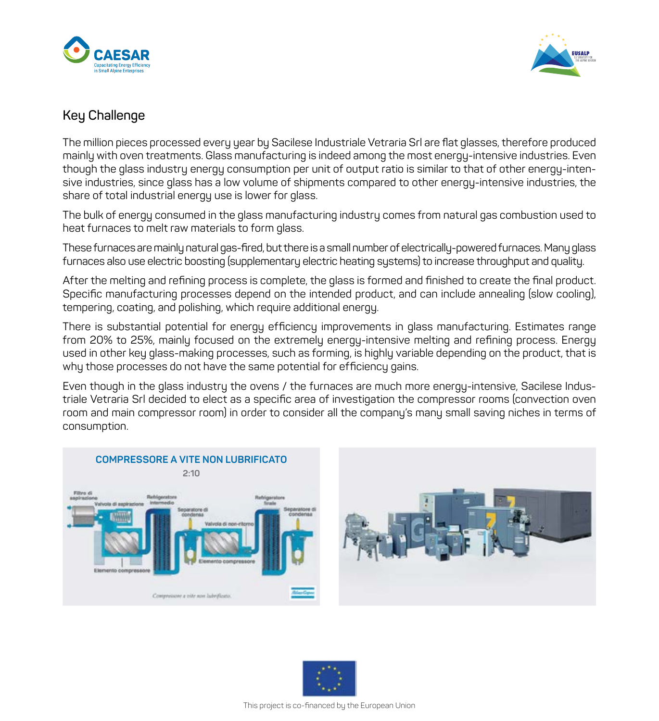



#### **Key Challenge**

The million pieces processed every year by Sacilese Industriale Vetraria Srl are flat glasses, therefore produced mainly with oven treatments. Glass manufacturing is indeed among the most energy-intensive industries. Even though the glass industry energy consumption per unit of output ratio is similar to that of other energy-intensive industries, since glass has a low volume of shipments compared to other energy-intensive industries, the share of total industrial energy use is lower for glass.

The bulk of energy consumed in the glass manufacturing industry comes from natural gas combustion used to heat furnaces to melt raw materials to form glass.

These furnaces are mainly natural gas-fired, but there is a small number of electrically-powered furnaces. Many glass furnaces also use electric boosting (supplementary electric heating systems) to increase throughput and quality.

After the melting and refining process is complete, the glass is formed and finished to create the final product. Specific manufacturing processes depend on the intended product, and can include annealing (slow cooling), tempering, coating, and polishing, which require additional energy.

There is substantial potential for energy efficiency improvements in glass manufacturing. Estimates range from 20% to 25%, mainly focused on the extremely energy-intensive melting and refining process. Energy used in other key glass-making processes, such as forming, is highly variable depending on the product, that is why those processes do not have the same potential for efficiency gains.

Even though in the glass industry the ovens / the furnaces are much more energy-intensive, Sacilese Industriale Vetraria Srl decided to elect as a specific area of investigation the compressor rooms (convection oven room and main compressor room) in order to consider all the company's many small saving niches in terms of consumption.



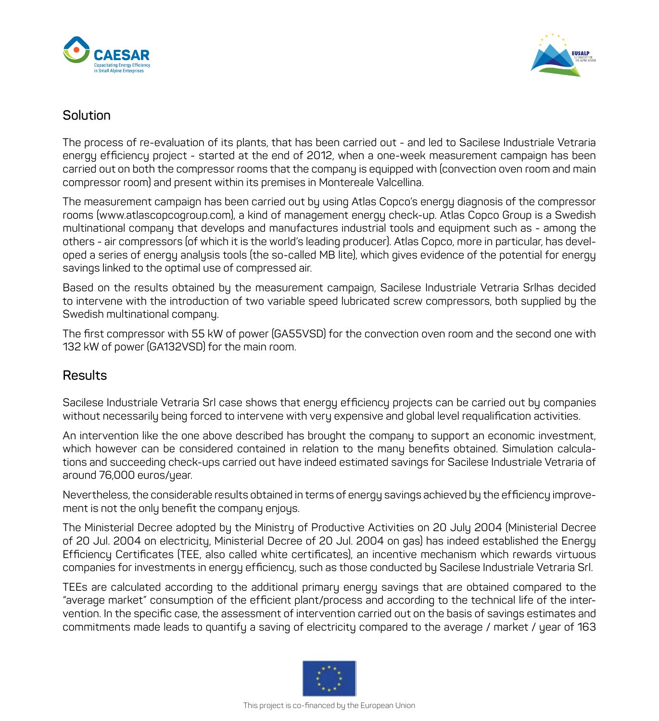



#### **Solution**

The process of re-evaluation of its plants, that has been carried out - and led to Sacilese Industriale Vetraria energy efficiency project - started at the end of 2012, when a one-week measurement campaign has been carried out on both the compressor rooms that the company is equipped with (convection oven room and main compressor room) and present within its premises in Montereale Valcellina.

The measurement campaign has been carried out by using Atlas Copco's energy diagnosis of the compressor rooms (www.atlascopcogroup.com), a kind of management energy check-up. Atlas Copco Group is a Swedish multinational company that develops and manufactures industrial tools and equipment such as - among the others - air compressors (of which it is the world's leading producer). Atlas Copco, more in particular, has developed a series of energy analysis tools (the so-called MB lite), which gives evidence of the potential for energy savings linked to the optimal use of compressed air.

Based on the results obtained by the measurement campaign, Sacilese Industriale Vetraria Srlhas decided to intervene with the introduction of two variable speed lubricated screw compressors, both supplied by the Swedish multinational company.

The first compressor with 55 kW of power (GA55VSD) for the convection oven room and the second one with 132 kW of power (GA132VSD) for the main room.

#### **Results**

Sacilese Industriale Vetraria Srl case shows that energy efficiency projects can be carried out by companies without necessarily being forced to intervene with very expensive and global level requalification activities.

An intervention like the one above described has brought the company to support an economic investment, which however can be considered contained in relation to the many benefits obtained. Simulation calculations and succeeding check-ups carried out have indeed estimated savings for Sacilese Industriale Vetraria of around 76,000 euros/year.

Nevertheless, the considerable results obtained in terms of energy savings achieved by the efficiency improvement is not the only benefit the company enjoys.

The Ministerial Decree adopted by the Ministry of Productive Activities on 20 July 2004 (Ministerial Decree of 20 Jul. 2004 on electricity, Ministerial Decree of 20 Jul. 2004 on gas) has indeed established the Energy Efficiency Certificates (TEE, also called white certificates), an incentive mechanism which rewards virtuous companies for investments in energy efficiency, such as those conducted by Sacilese Industriale Vetraria Srl.

TEEs are calculated according to the additional primary energy savings that are obtained compared to the "average market" consumption of the efficient plant/process and according to the technical life of the intervention. In the specific case, the assessment of intervention carried out on the basis of savings estimates and commitments made leads to quantify a saving of electricity compared to the average / market / year of 163

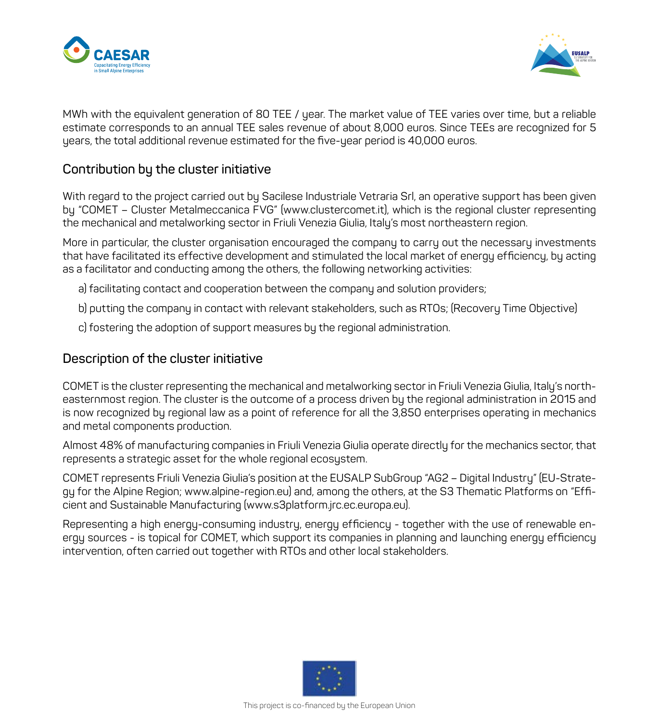



MWh with the equivalent generation of 80 TEE / year. The market value of TEE varies over time, but a reliable estimate corresponds to an annual TEE sales revenue of about 8,000 euros. Since TEEs are recognized for 5 years, the total additional revenue estimated for the five-year period is 40,000 euros.

#### **Contribution by the cluster initiative**

With regard to the project carried out by Sacilese Industriale Vetraria Srl, an operative support has been given by "COMET – Cluster Metalmeccanica FVG" (www.clustercomet.it), which is the regional cluster representing the mechanical and metalworking sector in Friuli Venezia Giulia, Italy's most northeastern region.

More in particular, the cluster organisation encouraged the company to carry out the necessary investments that have facilitated its effective development and stimulated the local market of energy efficiency, by acting as a facilitator and conducting among the others, the following networking activities:

- a) facilitating contact and cooperation between the company and solution providers;
- b) putting the company in contact with relevant stakeholders, such as RTOs; (Recovery Time Objective)
- c) fostering the adoption of support measures by the regional administration.

#### **Description of the cluster initiative**

COMET is the cluster representing the mechanical and metalworking sector in Friuli Venezia Giulia, Italy's northeasternmost region. The cluster is the outcome of a process driven by the regional administration in 2015 and is now recognized by regional law as a point of reference for all the 3,850 enterprises operating in mechanics and metal components production.

Almost 48% of manufacturing companies in Friuli Venezia Giulia operate directly for the mechanics sector, that represents a strategic asset for the whole regional ecosystem.

COMET represents Friuli Venezia Giulia's position at the EUSALP SubGroup "AG2 – Digital Industry" (EU-Strategy for the Alpine Region; www.alpine-region.eu) and, among the others, at the S3 Thematic Platforms on "Efficient and Sustainable Manufacturing (www.s3platform.jrc.ec.europa.eu).

Representing a high energy-consuming industry, energy efficiency - together with the use of renewable energy sources - is topical for COMET, which support its companies in planning and launching energy efficiency intervention, often carried out together with RTOs and other local stakeholders.

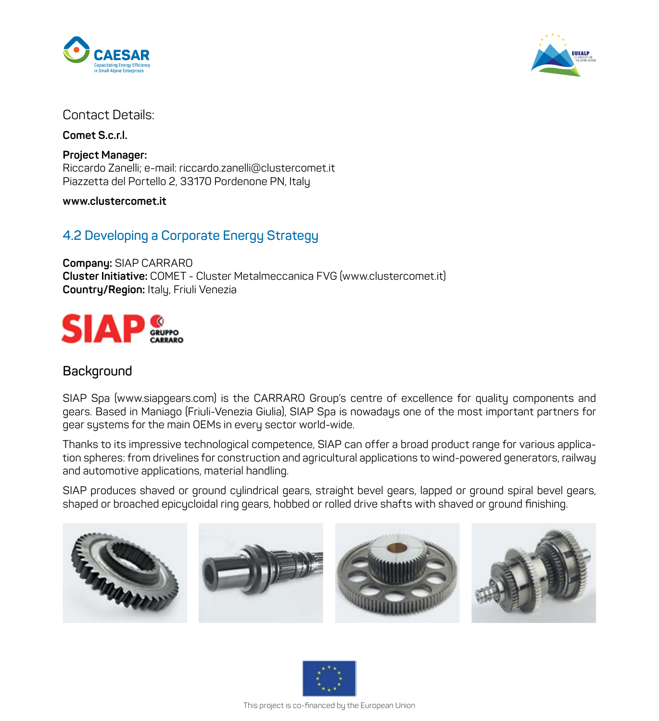



#### Contact Details:

**Comet S.c.r.l.**

**Project Manager:** Riccardo Zanelli; e-mail: riccardo.zanelli@clustercomet.it Piazzetta del Portello 2, 33170 Pordenone PN, Italy

**www.clustercomet.it**

#### **4.2 Developing a Corporate Energy Strategy**

**Company:** SIAP CARRARO **Cluster Initiative:** COMET - Cluster Metalmeccanica FVG (www.clustercomet.it) **Country/Region:** Italy, Friuli Venezia



#### **Background**

SIAP Spa (www.siapgears.com) is the CARRARO Group's centre of excellence for quality components and gears. Based in Maniago (Friuli-Venezia Giulia), SIAP Spa is nowadays one of the most important partners for gear systems for the main OEMs in every sector world-wide.

Thanks to its impressive technological competence, SIAP can offer a broad product range for various application spheres: from drivelines for construction and agricultural applications to wind-powered generators, railway and automotive applications, material handling.

SIAP produces shaved or ground cylindrical gears, straight bevel gears, lapped or ground spiral bevel gears, shaped or broached epicycloidal ring gears, hobbed or rolled drive shafts with shaved or ground finishing.



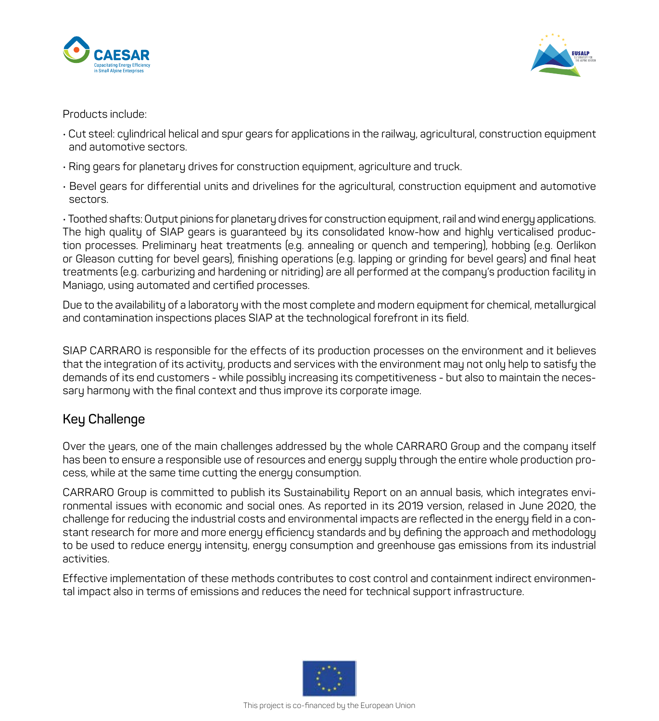



Products include:

- Cut steel: cylindrical helical and spur gears for applications in the railway, agricultural, construction equipment and automotive sectors.
- Ring gears for planetary drives for construction equipment, agriculture and truck.
- Bevel gears for differential units and drivelines for the agricultural, construction equipment and automotive sectors.

• Toothed shafts: Output pinions for planetary drives for construction equipment, rail and wind energy applications. The high quality of SIAP gears is guaranteed by its consolidated know-how and highly verticalised production processes. Preliminary heat treatments (e.g. annealing or quench and tempering), hobbing (e.g. Oerlikon or Gleason cutting for bevel gears), finishing operations (e.g. lapping or grinding for bevel gears) and final heat treatments (e.g. carburizing and hardening or nitriding) are all performed at the company's production facility in Maniago, using automated and certified processes.

Due to the availability of a laboratory with the most complete and modern equipment for chemical, metallurgical and contamination inspections places SIAP at the technological forefront in its field.

SIAP CARRARO is responsible for the effects of its production processes on the environment and it believes that the integration of its activity, products and services with the environment may not only help to satisfy the demands of its end customers - while possibly increasing its competitiveness - but also to maintain the necessary harmony with the final context and thus improve its corporate image.

#### **Key Challenge**

Over the years, one of the main challenges addressed by the whole CARRARO Group and the company itself has been to ensure a responsible use of resources and energy supply through the entire whole production process, while at the same time cutting the energy consumption.

CARRARO Group is committed to publish its Sustainability Report on an annual basis, which integrates environmental issues with economic and social ones. As reported in its 2019 version, relased in June 2020, the challenge for reducing the industrial costs and environmental impacts are reflected in the energy field in a constant research for more and more energy efficiency standards and by defining the approach and methodology to be used to reduce energy intensity, energy consumption and greenhouse gas emissions from its industrial activities.

Effective implementation of these methods contributes to cost control and containment indirect environmental impact also in terms of emissions and reduces the need for technical support infrastructure.

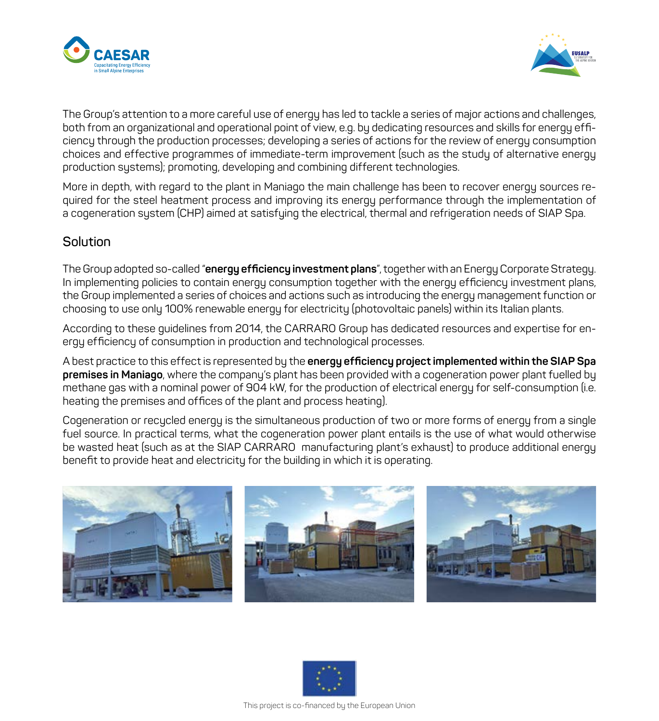



The Group's attention to a more careful use of energy has led to tackle a series of major actions and challenges, both from an organizational and operational point of view, e.g. by dedicating resources and skills for energy efficiency through the production processes; developing a series of actions for the review of energy consumption choices and effective programmes of immediate-term improvement (such as the study of alternative energy production systems); promoting, developing and combining different technologies.

More in depth, with regard to the plant in Maniago the main challenge has been to recover energy sources required for the steel heatment process and improving its energy performance through the implementation of a cogeneration system (CHP) aimed at satisfying the electrical, thermal and refrigeration needs of SIAP Spa.

#### **Solution**

The Group adopted so-called "**energy efficiency investment plans**", together with an Energy Corporate Strategy. In implementing policies to contain energy consumption together with the energy efficiency investment plans, the Group implemented a series of choices and actions such as introducing the energy management function or choosing to use only 100% renewable energy for electricity (photovoltaic panels) within its Italian plants.

According to these guidelines from 2014, the CARRARO Group has dedicated resources and expertise for energy efficiency of consumption in production and technological processes.

A best practice to this effect is represented by the **energy efficiency project implemented within the SIAP Spa premises in Maniago**, where the company's plant has been provided with a cogeneration power plant fuelled by methane gas with a nominal power of 904 kW, for the production of electrical energy for self-consumption (i.e. heating the premises and offices of the plant and process heating).

Cogeneration or recycled energy is the simultaneous production of two or more forms of energy from a single fuel source. In practical terms, what the cogeneration power plant entails is the use of what would otherwise be wasted heat (such as at the SIAP CARRARO manufacturing plant's exhaust) to produce additional energy benefit to provide heat and electricity for the building in which it is operating.



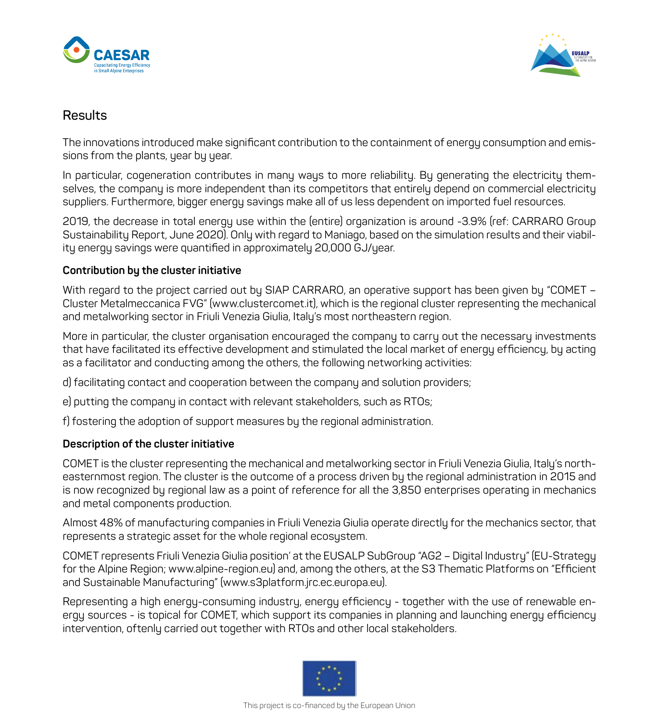



#### **Results**

The innovations introduced make significant contribution to the containment of energy consumption and emissions from the plants, year by year.

In particular, cogeneration contributes in many ways to more reliability. By generating the electricity themselves, the company is more independent than its competitors that entirely depend on commercial electricity suppliers. Furthermore, bigger energy savings make all of us less dependent on imported fuel resources.

2019, the decrease in total energy use within the (entire) organization is around -3.9% (ref: CARRARO Group Sustainability Report, June 2020). Only with regard to Maniago, based on the simulation results and their viability energy savings were quantified in approximately 20,000 GJ/year.

#### **Contribution by the cluster initiative**

With regard to the project carried out by SIAP CARRARO, an operative support has been given by "COMET – Cluster Metalmeccanica FVG" (www.clustercomet.it), which is the regional cluster representing the mechanical and metalworking sector in Friuli Venezia Giulia, Italy's most northeastern region.

More in particular, the cluster organisation encouraged the company to carry out the necessary investments that have facilitated its effective development and stimulated the local market of energy efficiency, by acting as a facilitator and conducting among the others, the following networking activities:

d) facilitating contact and cooperation between the company and solution providers;

e) putting the company in contact with relevant stakeholders, such as RTOs;

f) fostering the adoption of support measures by the regional administration.

#### **Description of the cluster initiative**

COMET is the cluster representing the mechanical and metalworking sector in Friuli Venezia Giulia, Italy's northeasternmost region. The cluster is the outcome of a process driven by the regional administration in 2015 and is now recognized by regional law as a point of reference for all the 3,850 enterprises operating in mechanics and metal components production.

Almost 48% of manufacturing companies in Friuli Venezia Giulia operate directly for the mechanics sector, that represents a strategic asset for the whole regional ecosystem.

COMET represents Friuli Venezia Giulia position' at the EUSALP SubGroup "AG2 – Digital Industry" (EU-Strategy for the Alpine Region; www.alpine-region.eu) and, among the others, at the S3 Thematic Platforms on "Efficient and Sustainable Manufacturing" (www.s3platform.jrc.ec.europa.eu).

Representing a high energy-consuming industry, energy efficiency - together with the use of renewable energy sources - is topical for COMET, which support its companies in planning and launching energy efficiency intervention, oftenly carried out together with RTOs and other local stakeholders.

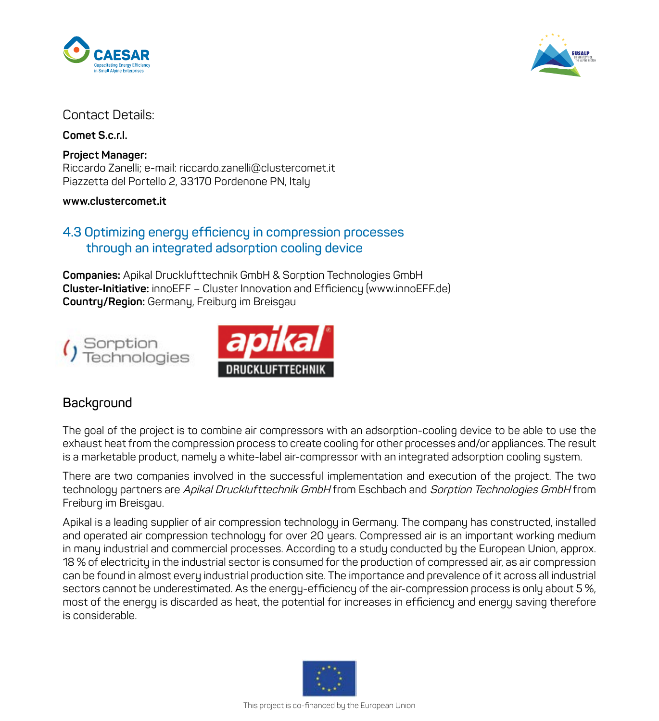



#### Contact Details:

**Comet S.c.r.l.**

**Project Manager:** Riccardo Zanelli; e-mail: riccardo.zanelli@clustercomet.it Piazzetta del Portello 2, 33170 Pordenone PN, Italy

**www.clustercomet.it**

#### **4.3 Optimizing energy efficiency in compression processes through an integrated adsorption cooling device**

**Companies:** Apikal Drucklufttechnik GmbH & Sorption Technologies GmbH **Cluster-Initiative:** innoEFF – Cluster Innovation and Efficiency (www.innoEFF.de) **Country/Region:** Germany, Freiburg im Breisgau





#### **Background**

The goal of the project is to combine air compressors with an adsorption-cooling device to be able to use the exhaust heat from the compression process to create cooling for other processes and/or appliances. The result is a marketable product, namely a white-label air-compressor with an integrated adsorption cooling system.

There are two companies involved in the successful implementation and execution of the project. The two technology partners are Apikal Drucklufttechnik GmbH from Eschbach and Sorption Technologies GmbH from Freiburg im Breisgau.

Apikal is a leading supplier of air compression technology in Germany. The company has constructed, installed and operated air compression technology for over 20 years. Compressed air is an important working medium in many industrial and commercial processes. According to a study conducted by the European Union, approx. 18 % of electricity in the industrial sector is consumed for the production of compressed air, as air compression can be found in almost every industrial production site. The importance and prevalence of it across all industrial sectors cannot be underestimated. As the energy-efficiency of the air-compression process is only about 5 %, most of the energy is discarded as heat, the potential for increases in efficiency and energy saving therefore is considerable.

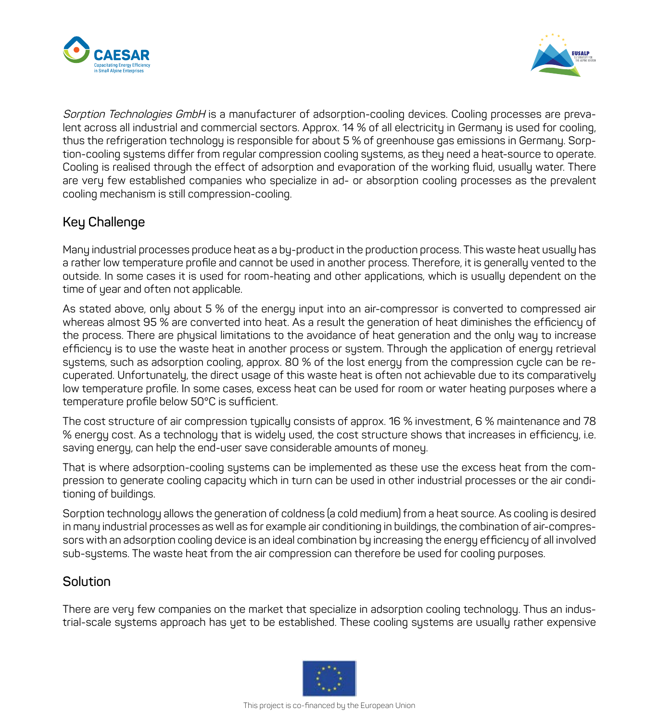



Sorption Technologies GmbH is a manufacturer of adsorption-cooling devices. Cooling processes are prevalent across all industrial and commercial sectors. Approx. 14 % of all electricity in Germany is used for cooling, thus the refrigeration technology is responsible for about 5 % of greenhouse gas emissions in Germany. Sorption-cooling systems differ from regular compression cooling systems, as they need a heat-source to operate. Cooling is realised through the effect of adsorption and evaporation of the working fluid, usually water. There are very few established companies who specialize in ad- or absorption cooling processes as the prevalent cooling mechanism is still compression-cooling.

#### **Key Challenge**

Many industrial processes produce heat as a by-product in the production process. This waste heat usually has a rather low temperature profile and cannot be used in another process. Therefore, it is generally vented to the outside. In some cases it is used for room-heating and other applications, which is usually dependent on the time of year and often not applicable.

As stated above, only about 5 % of the energy input into an air-compressor is converted to compressed air whereas almost 95 % are converted into heat. As a result the generation of heat diminishes the efficiency of the process. There are physical limitations to the avoidance of heat generation and the only way to increase efficiency is to use the waste heat in another process or system. Through the application of energy retrieval systems, such as adsorption cooling, approx. 80 % of the lost energy from the compression cycle can be recuperated. Unfortunately, the direct usage of this waste heat is often not achievable due to its comparatively low temperature profile. In some cases, excess heat can be used for room or water heating purposes where a temperature profile below 50°C is sufficient.

The cost structure of air compression typically consists of approx. 16 % investment, 6 % maintenance and 78 % energy cost. As a technology that is widely used, the cost structure shows that increases in efficiency, i.e. saving energy, can help the end-user save considerable amounts of money.

That is where adsorption-cooling systems can be implemented as these use the excess heat from the compression to generate cooling capacity which in turn can be used in other industrial processes or the air conditioning of buildings.

Sorption technology allows the generation of coldness (a cold medium) from a heat source. As cooling is desired in many industrial processes as well as for example air conditioning in buildings, the combination of air-compressors with an adsorption cooling device is an ideal combination by increasing the energy efficiency of all involved sub-systems. The waste heat from the air compression can therefore be used for cooling purposes.

#### **Solution**

There are very few companies on the market that specialize in adsorption cooling technology. Thus an industrial-scale systems approach has yet to be established. These cooling systems are usually rather expensive

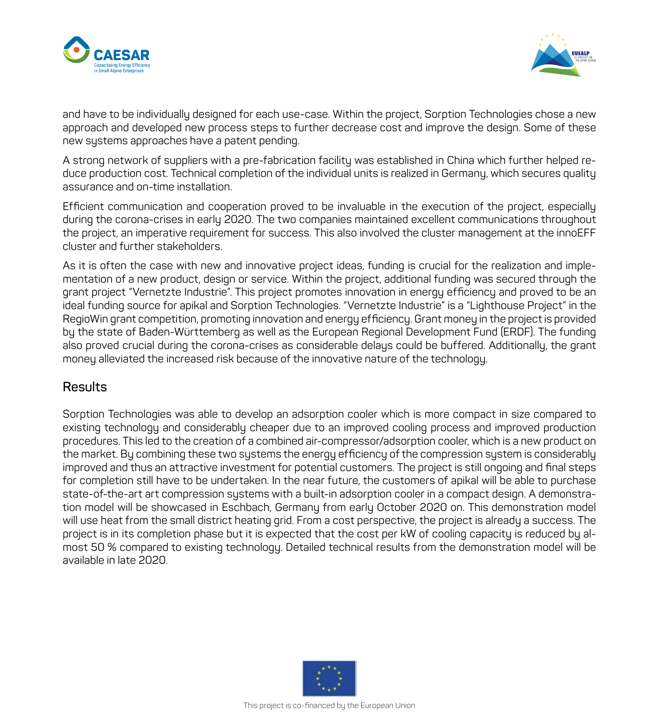



and have to be individually designed for each use-case. Within the project, Sorption Technologies chose a new approach and developed new process steps to further decrease cost and improve the design. Some of these new systems approaches have a patent pending.

A strong network of suppliers with a pre-fabrication facility was established in China which further helped reduce production cost. Technical completion of the individual units is realized in Germany, which secures quality assurance and on-time installation.

Efficient communication and cooperation proved to be invaluable in the execution of the project, especially during the corona-crises in early 2020. The two companies maintained excellent communications throughout the project, an imperative requirement for success. This also involved the cluster management at the innoEFF cluster and further stakeholders.

As it is often the case with new and innovative project ideas, funding is crucial for the realization and implementation of a new product, design or service. Within the project, additional funding was secured through the grant project "Vernetzte Industrie". This project promotes innovation in energy efficiency and proved to be an ideal funding source for apikal and Sorption Technologies. "Vernetzte Industrie" is a "Lighthouse Project" in the RegioWin grant competition, promoting innovation and energy efficiency. Grant money in the project is provided by the state of Baden-Württemberg as well as the European Regional Development Fund (ERDF). The funding also proved crucial during the corona-crises as considerable delays could be buffered. Additionally, the grant money alleviated the increased risk because of the innovative nature of the technology.

#### **Results**

Sorption Technologies was able to develop an adsorption cooler which is more compact in size compared to existing technology and considerably cheaper due to an improved cooling process and improved production procedures. This led to the creation of a combined air-compressor/adsorption cooler, which is a new product on the market. By combining these two systems the energy efficiency of the compression system is considerably improved and thus an attractive investment for potential customers. The project is still ongoing and final steps for completion still have to be undertaken. In the near future, the customers of apikal will be able to purchase state-of-the-art art compression systems with a built-in adsorption cooler in a compact design. A demonstration model will be showcased in Eschbach, Germany from early October 2020 on. This demonstration model will use heat from the small district heating grid. From a cost perspective, the project is already a success. The project is in its completion phase but it is expected that the cost per kW of cooling capacity is reduced by almost 50 % compared to existing technology. Detailed technical results from the demonstration model will be available in late 2020.

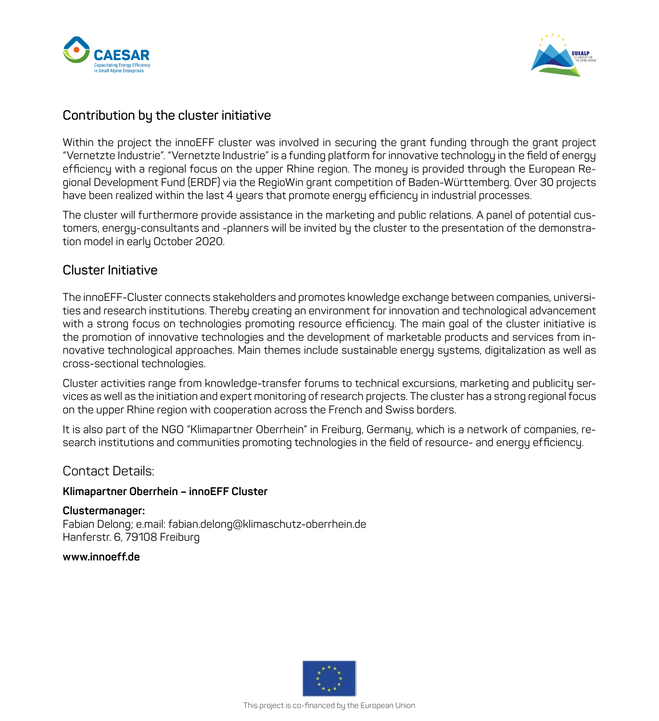



#### **Contribution by the cluster initiative**

Within the project the innoEFF cluster was involved in securing the grant funding through the grant project "Vernetzte Industrie". "Vernetzte Industrie" is a funding platform for innovative technology in the field of energy efficiency with a regional focus on the upper Rhine region. The money is provided through the European Regional Development Fund (ERDF) via the RegioWin grant competition of Baden-Württemberg. Over 30 projects have been realized within the last 4 years that promote energy efficiency in industrial processes.

The cluster will furthermore provide assistance in the marketing and public relations. A panel of potential customers, energy-consultants and -planners will be invited by the cluster to the presentation of the demonstration model in early October 2020.

#### **Cluster Initiative**

The innoEFF-Cluster connects stakeholders and promotes knowledge exchange between companies, universities and research institutions. Thereby creating an environment for innovation and technological advancement with a strong focus on technologies promoting resource efficiency. The main goal of the cluster initiative is the promotion of innovative technologies and the development of marketable products and services from innovative technological approaches. Main themes include sustainable energy systems, digitalization as well as cross-sectional technologies.

Cluster activities range from knowledge-transfer forums to technical excursions, marketing and publicity services as well as the initiation and expert monitoring of research projects. The cluster has a strong regional focus on the upper Rhine region with cooperation across the French and Swiss borders.

It is also part of the NGO "Klimapartner Oberrhein" in Freiburg, Germany, which is a network of companies, research institutions and communities promoting technologies in the field of resource- and energy efficiency.

#### Contact Details:

#### **Klimapartner Oberrhein – innoEFF Cluster**

**Clustermanager:** Fabian Delong; e.mail: fabian.delong@klimaschutz-oberrhein.de Hanferstr. 6, 79108 Freiburg

#### **www.innoeff.de**

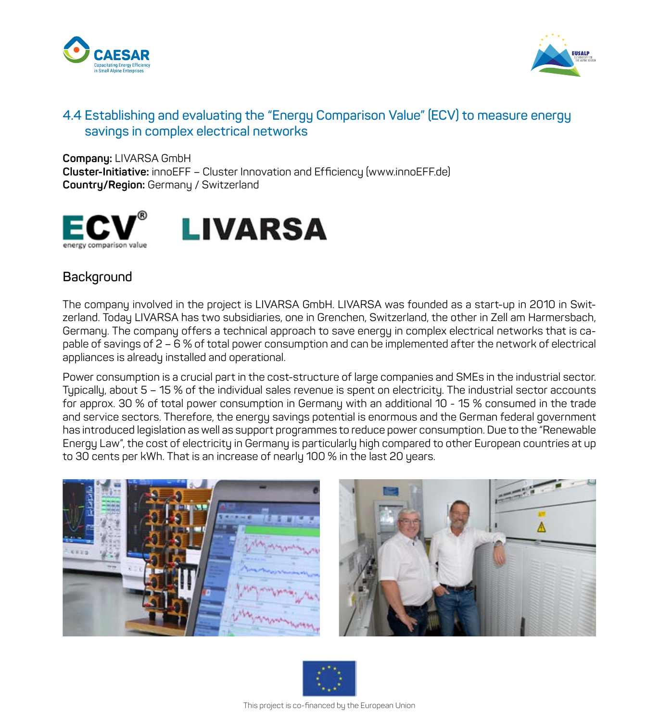



#### **4.4 Establishing and evaluating the "Energy Comparison Value" (ECV) to measure energy savings in complex electrical networks**

**Company:** LIVARSA GmbH **Cluster-Initiative:** innoEFF – Cluster Innovation and Efficiency (www.innoEFF.de) **Country/Region:** Germany / Switzerland



#### **Background**

The company involved in the project is LIVARSA GmbH. LIVARSA was founded as a start-up in 2010 in Switzerland. Today LIVARSA has two subsidiaries, one in Grenchen, Switzerland, the other in Zell am Harmersbach, Germany. The company offers a technical approach to save energy in complex electrical networks that is capable of savings of 2 – 6 % of total power consumption and can be implemented after the network of electrical appliances is already installed and operational.

Power consumption is a crucial part in the cost-structure of large companies and SMEs in the industrial sector. Typically, about 5 – 15 % of the individual sales revenue is spent on electricity. The industrial sector accounts for approx. 30 % of total power consumption in Germany with an additional 10 - 15 % consumed in the trade and service sectors. Therefore, the energy savings potential is enormous and the German federal government has introduced legislation as well as support programmes to reduce power consumption. Due to the "Renewable Energy Law", the cost of electricity in Germany is particularly high compared to other European countries at up to 30 cents per kWh. That is an increase of nearly 100 % in the last 20 years.





This project is co-financed by the European Union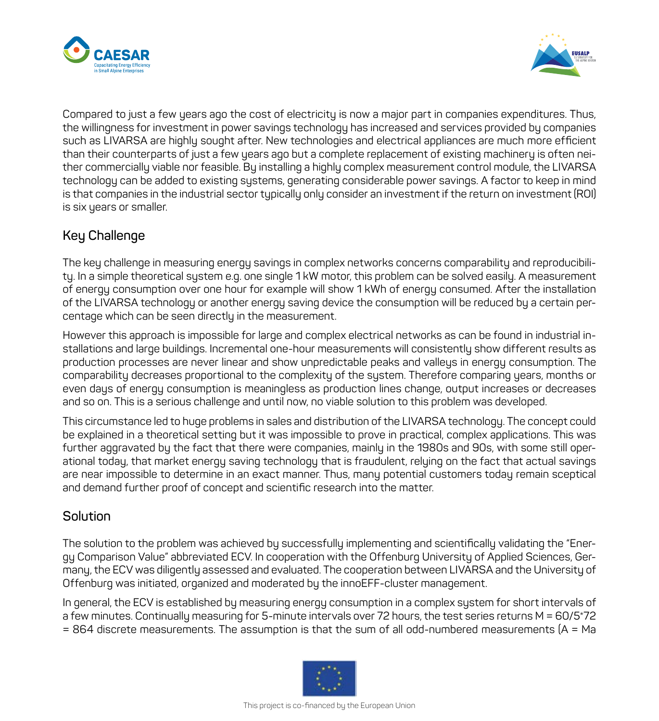



Compared to just a few years ago the cost of electricity is now a major part in companies expenditures. Thus, the willingness for investment in power savings technology has increased and services provided by companies such as LIVARSA are highly sought after. New technologies and electrical appliances are much more efficient than their counterparts of just a few years ago but a complete replacement of existing machinery is often neither commercially viable nor feasible. By installing a highly complex measurement control module, the LIVARSA technology can be added to existing systems, generating considerable power savings. A factor to keep in mind is that companies in the industrial sector tupically only consider an investment if the return on investment (ROI) is six years or smaller.

### **Key Challenge**

The key challenge in measuring energy savings in complex networks concerns comparability and reproducibility. In a simple theoretical system e.g. one single 1 kW motor, this problem can be solved easily. A measurement of energy consumption over one hour for example will show 1 kWh of energy consumed. After the installation of the LIVARSA technology or another energy saving device the consumption will be reduced by a certain percentage which can be seen directly in the measurement.

However this approach is impossible for large and complex electrical networks as can be found in industrial installations and large buildings. Incremental one-hour measurements will consistently show different results as production processes are never linear and show unpredictable peaks and valleys in energy consumption. The comparability decreases proportional to the complexity of the system. Therefore comparing years, months or even days of energy consumption is meaningless as production lines change, output increases or decreases and so on. This is a serious challenge and until now, no viable solution to this problem was developed.

This circumstance led to huge problems in sales and distribution of the LIVARSA technology. The concept could be explained in a theoretical setting but it was impossible to prove in practical, complex applications. This was further aggravated by the fact that there were companies, mainly in the 1980s and 90s, with some still operational today, that market energy saving technology that is fraudulent, relying on the fact that actual savings are near impossible to determine in an exact manner. Thus, many potential customers today remain sceptical and demand further proof of concept and scientific research into the matter.

#### **Solution**

The solution to the problem was achieved by successfully implementing and scientifically validating the "Energy Comparison Value" abbreviated ECV. In cooperation with the Offenburg University of Applied Sciences, Germany, the ECV was diligently assessed and evaluated. The cooperation between LIVARSA and the University of Offenburg was initiated, organized and moderated by the innoEFF-cluster management.

In general, the ECV is established by measuring energy consumption in a complex system for short intervals of a few minutes. Continually measuring for 5-minute intervals over 72 hours, the test series returns M = 60/5\*72 = 864 discrete measurements. The assumption is that the sum of all odd-numbered measurements (A = Ma

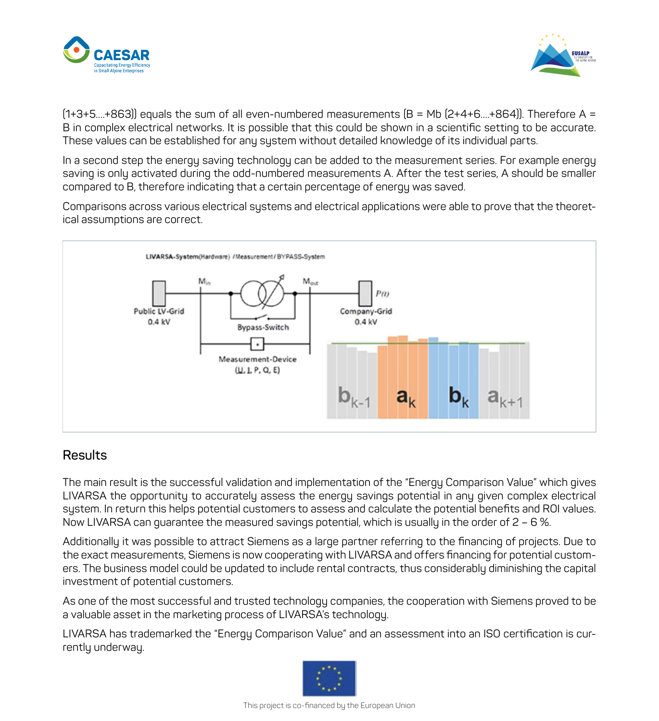



 $(1+3+5...+863)$  equals the sum of all even-numbered measurements  $[B = Mb \ [2+4+6...+864]$ . Therefore A = B in complex electrical networks. It is possible that this could be shown in a scientific setting to be accurate. These values can be established for any system without detailed knowledge of its individual parts.

In a second step the energy saving technology can be added to the measurement series. For example energy saving is only activated during the odd-numbered measurements A. After the test series, A should be smaller compared to B, therefore indicating that a certain percentage of energy was saved.

Comparisons across various electrical systems and electrical applications were able to prove that the theoretical assumptions are correct.



#### **Results**

The main result is the successful validation and implementation of the "Energy Comparison Value" which gives LIVARSA the opportunity to accurately assess the energy savings potential in any given complex electrical system. In return this helps potential customers to assess and calculate the potential benefits and ROI values. Now LIVARSA can guarantee the measured savings potential, which is usually in the order of 2 – 6 %.

Additionally it was possible to attract Siemens as a large partner referring to the financing of projects. Due to the exact measurements, Siemens is now cooperating with LIVARSA and offers financing for potential customers. The business model could be updated to include rental contracts, thus considerably diminishing the capital investment of potential customers.

As one of the most successful and trusted technology companies, the cooperation with Siemens proved to be a valuable asset in the marketing process of LIVARSA's technology.

LIVARSA has trademarked the "Energy Comparison Value" and an assessment into an ISO certification is currently underway.

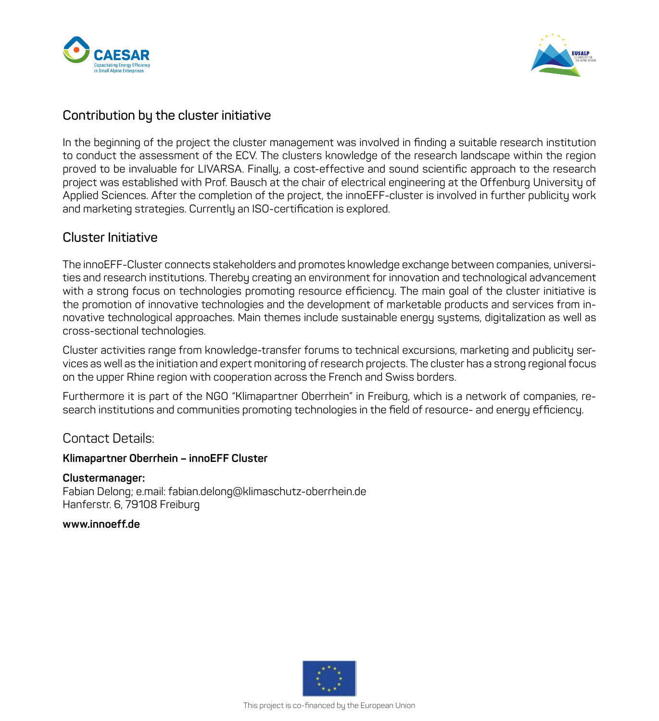



#### **Contribution by the cluster initiative**

In the beginning of the project the cluster management was involved in finding a suitable research institution to conduct the assessment of the ECV. The clusters knowledge of the research landscape within the region proved to be invaluable for LIVARSA. Finally, a cost-effective and sound scientific approach to the research project was established with Prof. Bausch at the chair of electrical engineering at the Offenburg University of Applied Sciences. After the completion of the project, the innoEFF-cluster is involved in further publicity work and marketing strategies. Currently an ISO-certification is explored.

#### **Cluster Initiative**

The innoEFF-Cluster connects stakeholders and promotes knowledge exchange between companies, universities and research institutions. Thereby creating an environment for innovation and technological advancement with a strong focus on technologies promoting resource efficiency. The main goal of the cluster initiative is the promotion of innovative technologies and the development of marketable products and services from innovative technological approaches. Main themes include sustainable energy systems, digitalization as well as cross-sectional technologies.

Cluster activities range from knowledge-transfer forums to technical excursions, marketing and publicity services as well as the initiation and expert monitoring of research projects. The cluster has a strong regional focus on the upper Rhine region with cooperation across the French and Swiss borders.

Furthermore it is part of the NGO "Klimapartner Oberrhein" in Freiburg, which is a network of companies, research institutions and communities promoting technologies in the field of resource- and energy efficiency.

#### Contact Details:

#### **Klimapartner Oberrhein – innoEFF Cluster**

#### **Clustermanager:**

Fabian Delong; e.mail: fabian.delong@klimaschutz-oberrhein.de Hanferstr. 6, 79108 Freiburg

**www.innoeff.de**

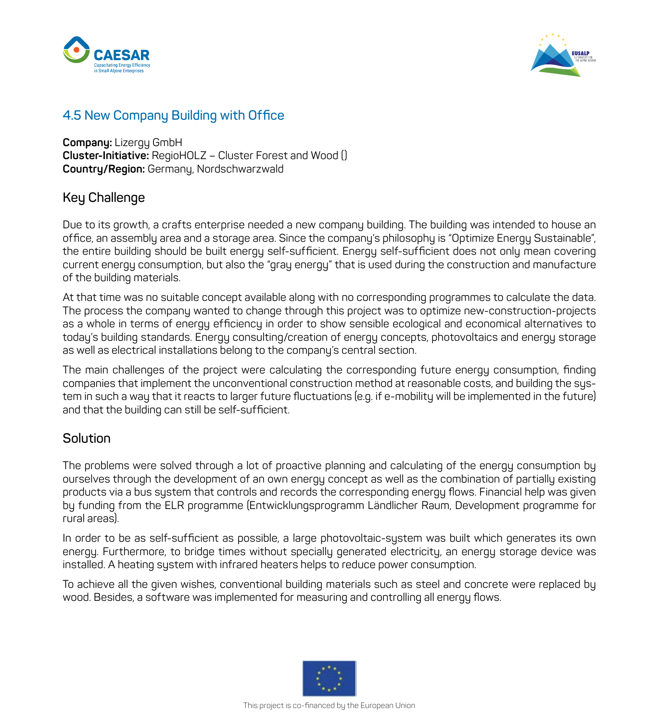



#### **4.5 New Company Building with Office**

**Company:** Lizergy GmbH **Cluster-Initiative:** RegioHOLZ – Cluster Forest and Wood () **Country/Region:** Germany, Nordschwarzwald

#### **Key Challenge**

Due to its growth, a crafts enterprise needed a new company building. The building was intended to house an office, an assembly area and a storage area. Since the company's philosophy is "Optimize Energy Sustainable", the entire building should be built energy self-sufficient. Energy self-sufficient does not only mean covering current energy consumption, but also the "gray energy" that is used during the construction and manufacture of the building materials.

At that time was no suitable concept available along with no corresponding programmes to calculate the data. The process the company wanted to change through this project was to optimize new-construction-projects as a whole in terms of energy efficiency in order to show sensible ecological and economical alternatives to today's building standards. Energy consulting/creation of energy concepts, photovoltaics and energy storage as well as electrical installations belong to the company's central section.

The main challenges of the project were calculating the corresponding future energy consumption, finding companies that implement the unconventional construction method at reasonable costs, and building the system in such a way that it reacts to larger future fluctuations (e.g. if e-mobility will be implemented in the future) and that the building can still be self-sufficient.

#### **Solution**

The problems were solved through a lot of proactive planning and calculating of the energy consumption by ourselves through the development of an own energy concept as well as the combination of partially existing products via a bus system that controls and records the corresponding energy flows. Financial help was given by funding from the ELR programme (Entwicklungsprogramm Ländlicher Raum, Development programme for rural areas).

In order to be as self-sufficient as possible, a large photovoltaic-system was built which generates its own energy. Furthermore, to bridge times without specially generated electricity, an energy storage device was installed. A heating system with infrared heaters helps to reduce power consumption.

To achieve all the given wishes, conventional building materials such as steel and concrete were replaced by wood. Besides, a software was implemented for measuring and controlling all energy flows.

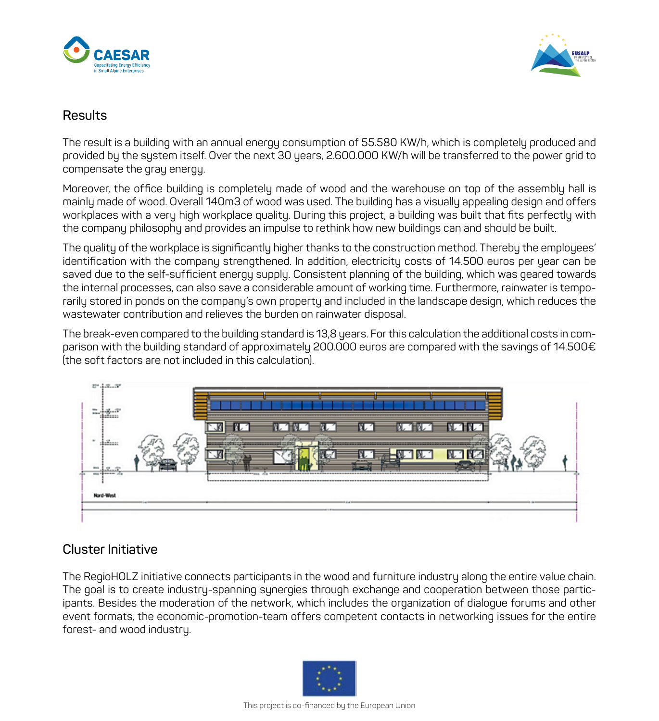



#### **Results**

The result is a building with an annual energy consumption of 55.580 KW/h, which is completely produced and provided by the system itself. Over the next 30 years, 2.600.000 KW/h will be transferred to the power grid to compensate the gray energy.

Moreover, the office building is completely made of wood and the warehouse on top of the assembly hall is mainly made of wood. Overall 140m3 of wood was used. The building has a visually appealing design and offers workplaces with a very high workplace quality. During this project, a building was built that fits perfectly with the company philosophy and provides an impulse to rethink how new buildings can and should be built.

The quality of the workplace is significantly higher thanks to the construction method. Thereby the employees' identification with the company strengthened. In addition, electricity costs of 14.500 euros per year can be saved due to the self-sufficient energy supply. Consistent planning of the building, which was geared towards the internal processes, can also save a considerable amount of working time. Furthermore, rainwater is temporarily stored in ponds on the company's own property and included in the landscape design, which reduces the wastewater contribution and relieves the burden on rainwater disposal.

The break-even compared to the building standard is 13,8 years. For this calculation the additional costs in comparison with the building standard of approximately 200.000 euros are compared with the savings of 14.500€ (the soft factors are not included in this calculation).



#### **Cluster Initiative**

The RegioHOLZ initiative connects participants in the wood and furniture industry along the entire value chain. The goal is to create industry-spanning synergies through exchange and cooperation between those participants. Besides the moderation of the network, which includes the organization of dialogue forums and other event formats, the economic-promotion-team offers competent contacts in networking issues for the entire forest- and wood industry.

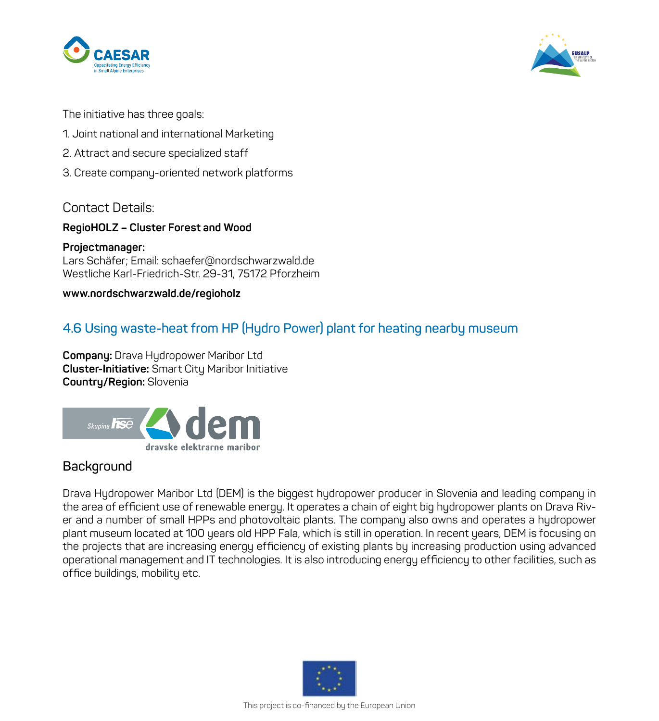



The initiative has three goals:

- 1. Joint national and international Marketing
- 2. Attract and secure specialized staff
- 3. Create company-oriented network platforms

#### Contact Details:

#### **RegioHOLZ – Cluster Forest and Wood**

**Projectmanager:** Lars Schäfer; Email: schaefer@nordschwarzwald.de Westliche Karl-Friedrich-Str. 29-31, 75172 Pforzheim

#### **www.nordschwarzwald.de/regioholz**

#### **4.6 Using waste-heat from HP (Hydro Power) plant for heating nearby museum**

**Company:** Drava Hydropower Maribor Ltd **Cluster-Initiative:** Smart City Maribor Initiative **Country/Region:** Slovenia



#### **Background**

Drava Hydropower Maribor Ltd (DEM) is the biggest hydropower producer in Slovenia and leading company in the area of efficient use of renewable energy. It operates a chain of eight big hydropower plants on Drava River and a number of small HPPs and photovoltaic plants. The company also owns and operates a hydropower plant museum located at 100 years old HPP Fala, which is still in operation. In recent years, DEM is focusing on the projects that are increasing energy efficiency of existing plants by increasing production using advanced operational management and IT technologies. It is also introducing energy efficiency to other facilities, such as office buildings, mobility etc.

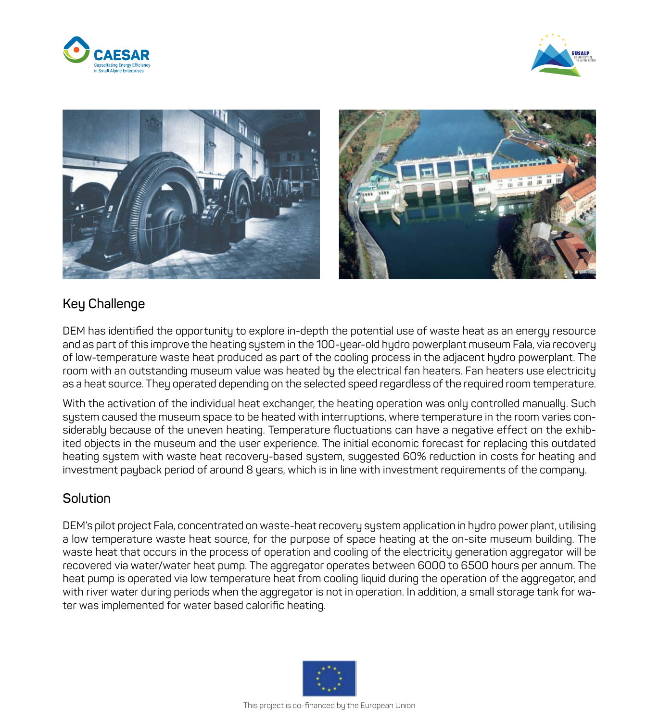





#### **Key Challenge**

DEM has identified the opportunity to explore in-depth the potential use of waste heat as an energy resource and as part of this improve the heating system in the 100-year-old hydro powerplant museum Fala, via recovery of low-temperature waste heat produced as part of the cooling process in the adjacent hydro powerplant. The room with an outstanding museum value was heated by the electrical fan heaters. Fan heaters use electricity as a heat source. They operated depending on the selected speed regardless of the required room temperature.

With the activation of the individual heat exchanger, the heating operation was only controlled manually. Such system caused the museum space to be heated with interruptions, where temperature in the room varies considerably because of the uneven heating. Temperature fluctuations can have a negative effect on the exhibited objects in the museum and the user experience. The initial economic forecast for replacing this outdated heating system with waste heat recovery-based system, suggested 60% reduction in costs for heating and investment payback period of around 8 years, which is in line with investment requirements of the company.

#### **Solution**

DEM's pilot project Fala, concentrated on waste-heat recovery system application in hydro power plant, utilising a low temperature waste heat source, for the purpose of space heating at the on-site museum building. The waste heat that occurs in the process of operation and cooling of the electricity generation aggregator will be recovered via water/water heat pump. The aggregator operates between 6000 to 6500 hours per annum. The heat pump is operated via low temperature heat from cooling liquid during the operation of the aggregator, and with river water during periods when the aggregator is not in operation. In addition, a small storage tank for water was implemented for water based calorific heating.

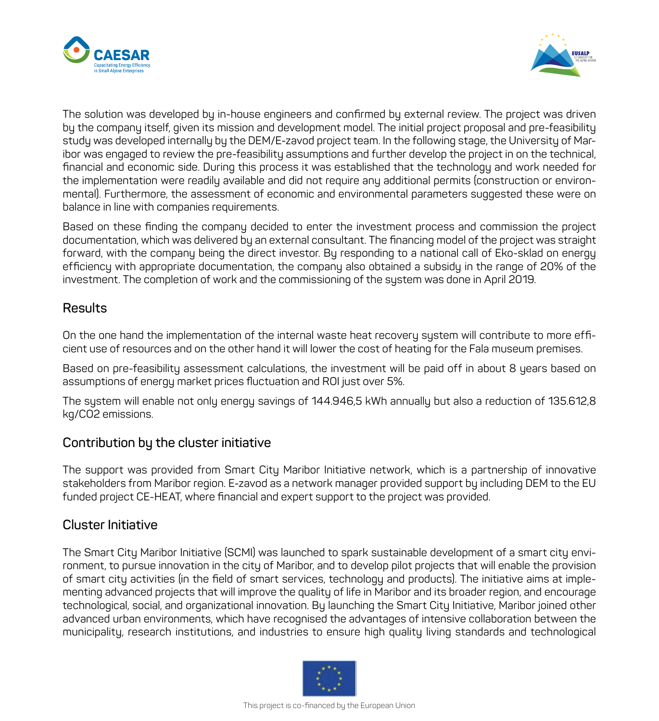



The solution was developed by in-house engineers and confirmed by external review. The project was driven by the company itself, given its mission and development model. The initial project proposal and pre-feasibility study was developed internally by the DEM/E-zavod project team. In the following stage, the University of Maribor was engaged to review the pre-feasibility assumptions and further develop the project in on the technical, financial and economic side. During this process it was established that the technology and work needed for the implementation were readily available and did not require any additional permits (construction or environmental). Furthermore, the assessment of economic and environmental parameters suggested these were on balance in line with companies requirements.

Based on these finding the company decided to enter the investment process and commission the project documentation, which was delivered by an external consultant. The financing model of the project was straight forward, with the company being the direct investor. By responding to a national call of Eko-sklad on energy efficiency with appropriate documentation, the company also obtained a subsidy in the range of 20% of the investment. The completion of work and the commissioning of the system was done in April 2019.

#### **Results**

On the one hand the implementation of the internal waste heat recovery system will contribute to more efficient use of resources and on the other hand it will lower the cost of heating for the Fala museum premises.

Based on pre-feasibility assessment calculations, the investment will be paid off in about 8 years based on assumptions of energy market prices fluctuation and ROI just over 5%.

The system will enable not only energy savings of 144.946,5 kWh annually but also a reduction of 135.612,8 kg/CO2 emissions.

#### **Contribution by the cluster initiative**

The support was provided from Smart City Maribor Initiative network, which is a partnership of innovative stakeholders from Maribor region. E-zavod as a network manager provided support by including DEM to the EU funded project CE-HEAT, where financial and expert support to the project was provided.

#### **Cluster Initiative**

The Smart City Maribor Initiative (SCMI) was launched to spark sustainable development of a smart city environment, to pursue innovation in the city of Maribor, and to develop pilot projects that will enable the provision of smart city activities (in the field of smart services, technology and products). The initiative aims at implementing advanced projects that will improve the quality of life in Maribor and its broader region, and encourage technological, social, and organizational innovation. By launching the Smart City Initiative, Maribor joined other advanced urban environments, which have recognised the advantages of intensive collaboration between the municipality, research institutions, and industries to ensure high quality living standards and technological

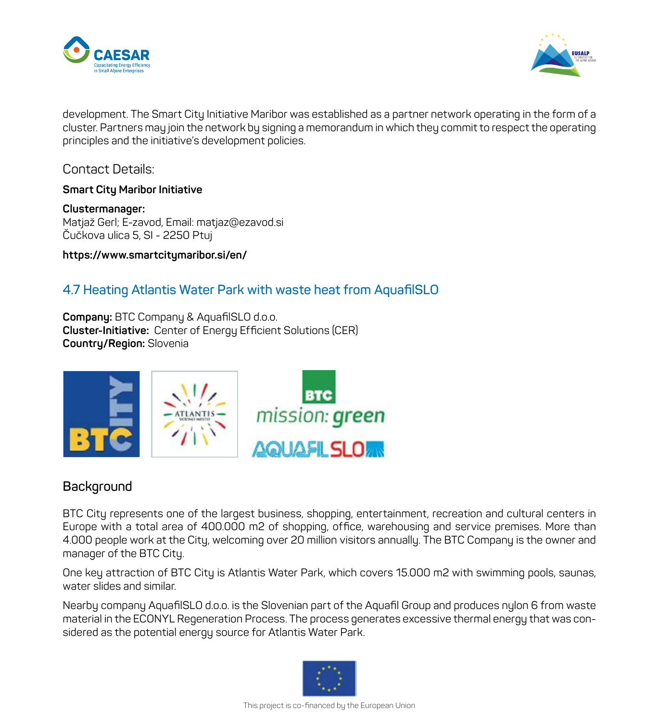



development. The Smart City Initiative Maribor was established as a partner network operating in the form of a cluster. Partners may join the network by signing a memorandum in which they commit to respect the operating principles and the initiative's development policies.

Contact Details:

**Smart City Maribor Initiative**

**Clustermanager:** Matjaž Gerl; E-zavod, Email: matjaz@ezavod.si Čučkova ulica 5, SI - 2250 Ptuj

**https://www.smartcitymaribor.si/en/**

#### **4.7 Heating Atlantis Water Park with waste heat from AquafilSLO**

**Company:** BTC Company & AquafilSLO d.o.o. **Cluster-Initiative:** Center of Energy Efficient Solutions (CER) **Country/Region:** Slovenia



#### **Background**

BTC City represents one of the largest business, shopping, entertainment, recreation and cultural centers in Europe with a total area of 400.000 m2 of shopping, office, warehousing and service premises. More than 4.000 people work at the City, welcoming over 20 million visitors annually. The BTC Company is the owner and manager of the BTC City.

One key attraction of BTC City is Atlantis Water Park, which covers 15.000 m2 with swimming pools, saunas, water slides and similar.

Nearby company AquafilSLO d.o.o. is the Slovenian part of the Aquafil Group and produces nylon 6 from waste material in the ECONYL Regeneration Process. The process generates excessive thermal energy that was considered as the potential energy source for Atlantis Water Park.

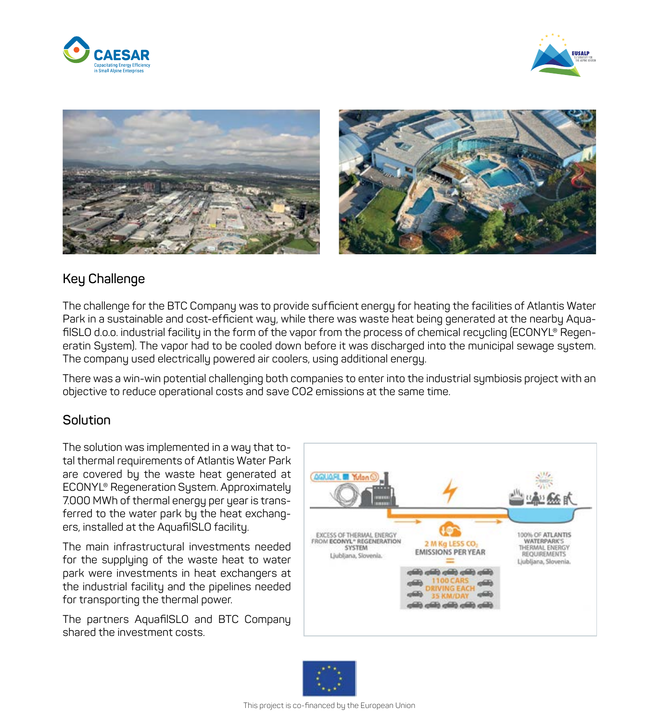







#### **Key Challenge**

The challenge for the BTC Company was to provide sufficient energy for heating the facilities of Atlantis Water Park in a sustainable and cost-efficient way, while there was waste heat being generated at the nearby AquafilSLO d.o.o. industrial facility in the form of the vapor from the process of chemical recycling (ECONYL® Regeneratin System). The vapor had to be cooled down before it was discharged into the municipal sewage system. The company used electrically powered air coolers, using additional energy.

There was a win-win potential challenging both companies to enter into the industrial symbiosis project with an objective to reduce operational costs and save CO2 emissions at the same time.

#### **Solution**

The solution was implemented in a way that total thermal requirements of Atlantis Water Park are covered by the waste heat generated at ECONYL® Regeneration System. Approximately 7.000 MWh of thermal energy per year is transferred to the water park by the heat exchangers, installed at the AquafilSLO facility.

The main infrastructural investments needed for the supplying of the waste heat to water park were investments in heat exchangers at the industrial facility and the pipelines needed for transporting the thermal power.

The partners AquafilSLO and BTC Company shared the investment costs.



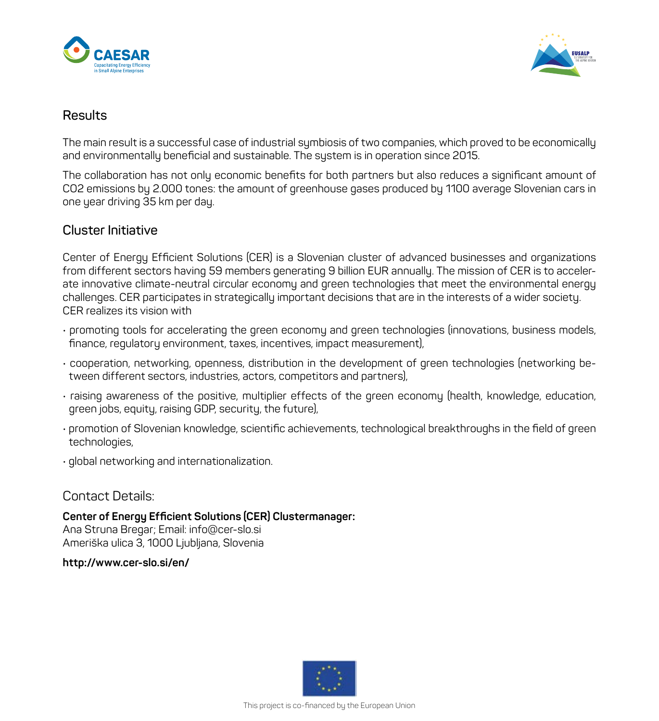



#### **Results**

The main result is a successful case of industrial symbiosis of two companies, which proved to be economically and environmentally beneficial and sustainable. The system is in operation since 2015.

The collaboration has not only economic benefits for both partners but also reduces a significant amount of CO2 emissions by 2.000 tones: the amount of greenhouse gases produced by 1100 average Slovenian cars in one year driving 35 km per day.

#### **Cluster Initiative**

Center of Energy Efficient Solutions (CER) is a Slovenian cluster of advanced businesses and organizations from different sectors having 59 members generating 9 billion EUR annually. The mission of CER is to accelerate innovative climate-neutral circular economy and green technologies that meet the environmental energy challenges. CER participates in strategically important decisions that are in the interests of a wider society. CER realizes its vision with

- promoting tools for accelerating the green economy and green technologies (innovations, business models, finance, regulatory environment, taxes, incentives, impact measurement),
- cooperation, networking, openness, distribution in the development of green technologies (networking between different sectors, industries, actors, competitors and partners),
- raising awareness of the positive, multiplier effects of the green economy (health, knowledge, education, green jobs, equity, raising GDP, security, the future),
- promotion of Slovenian knowledge, scientific achievements, technological breakthroughs in the field of green technologies,
- global networking and internationalization.

#### Contact Details:

**Center of Energy Efficient Solutions (CER) Clustermanager:** Ana Struna Bregar; Email: info@cer-slo.si Ameriška ulica 3, 1000 Ljubljana, Slovenia

**http://www.cer-slo.si/en/**

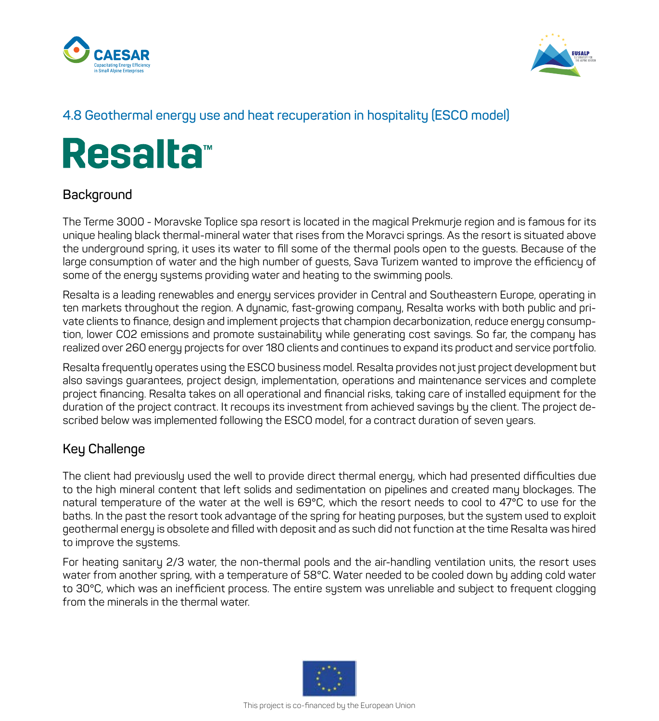



#### **4.8 Geothermal energy use and heat recuperation in hospitality (ESCO model)**

# **Resalta™**

#### **Background**

The Terme 3000 - Moravske Toplice spa resort is located in the magical Prekmurje region and is famous for its unique healing black thermal-mineral water that rises from the Moravci springs. As the resort is situated above the underground spring, it uses its water to fill some of the thermal pools open to the guests. Because of the large consumption of water and the high number of guests, Sava Turizem wanted to improve the efficiency of some of the energy systems providing water and heating to the swimming pools.

Resalta is a leading renewables and energy services provider in Central and Southeastern Europe, operating in ten markets throughout the region. A dynamic, fast-growing company, Resalta works with both public and private clients to finance, design and implement projects that champion decarbonization, reduce energy consumption, lower CO2 emissions and promote sustainability while generating cost savings. So far, the company has realized over 260 energy projects for over 180 clients and continues to expand its product and service portfolio.

Resalta frequently operates using the ESCO business model. Resalta provides not just project development but also savings guarantees, project design, implementation, operations and maintenance services and complete project financing. Resalta takes on all operational and financial risks, taking care of installed equipment for the duration of the project contract. It recoups its investment from achieved savings by the client. The project described below was implemented following the ESCO model, for a contract duration of seven years.

#### **Key Challenge**

The client had previously used the well to provide direct thermal energy, which had presented difficulties due to the high mineral content that left solids and sedimentation on pipelines and created many blockages. The natural temperature of the water at the well is 69°C, which the resort needs to cool to 47°C to use for the baths. In the past the resort took advantage of the spring for heating purposes, but the system used to exploit geothermal energy is obsolete and filled with deposit and as such did not function at the time Resalta was hired to improve the systems.

For heating sanitary 2/3 water, the non-thermal pools and the air-handling ventilation units, the resort uses water from another spring, with a temperature of 58°C. Water needed to be cooled down by adding cold water to 30°C, which was an inefficient process. The entire system was unreliable and subject to frequent clogging from the minerals in the thermal water.

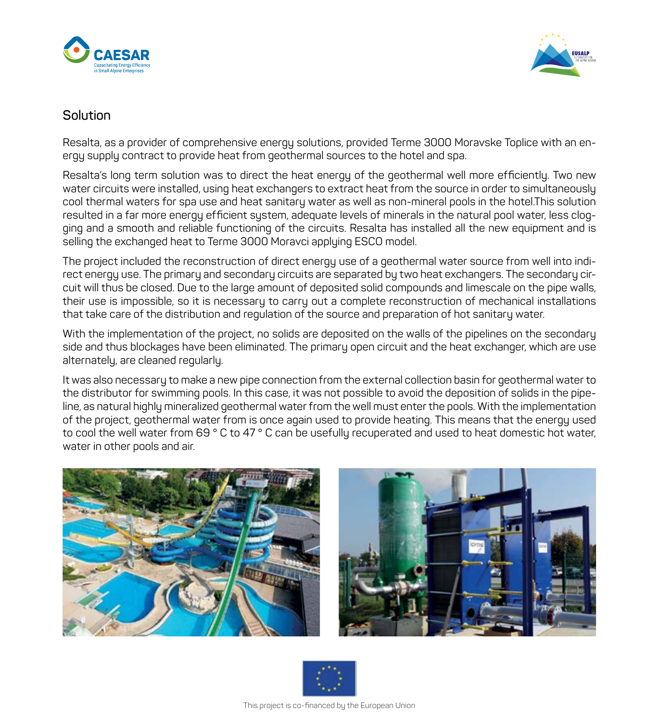



#### **Solution**

Resalta, as a provider of comprehensive energy solutions, provided Terme 3000 Moravske Toplice with an energy supply contract to provide heat from geothermal sources to the hotel and spa.

Resalta's long term solution was to direct the heat energy of the geothermal well more efficiently. Two new water circuits were installed, using heat exchangers to extract heat from the source in order to simultaneously cool thermal waters for spa use and heat sanitary water as well as non-mineral pools in the hotel.This solution resulted in a far more energy efficient system, adequate levels of minerals in the natural pool water, less clogging and a smooth and reliable functioning of the circuits. Resalta has installed all the new equipment and is selling the exchanged heat to Terme 3000 Moravci applying ESCO model.

The project included the reconstruction of direct energy use of a geothermal water source from well into indirect energy use. The primary and secondary circuits are separated by two heat exchangers. The secondary circuit will thus be closed. Due to the large amount of deposited solid compounds and limescale on the pipe walls, their use is impossible, so it is necessary to carry out a complete reconstruction of mechanical installations that take care of the distribution and regulation of the source and preparation of hot sanitary water.

With the implementation of the project, no solids are deposited on the walls of the pipelines on the secondary side and thus blockages have been eliminated. The primary open circuit and the heat exchanger, which are use alternately, are cleaned regularly.

It was also necessary to make a new pipe connection from the external collection basin for geothermal water to the distributor for swimming pools. In this case, it was not possible to avoid the deposition of solids in the pipeline, as natural highly mineralized geothermal water from the well must enter the pools. With the implementation of the project, geothermal water from is once again used to provide heating. This means that the energy used to cool the well water from 69 ° C to 47 ° C can be usefully recuperated and used to heat domestic hot water, water in other pools and air.





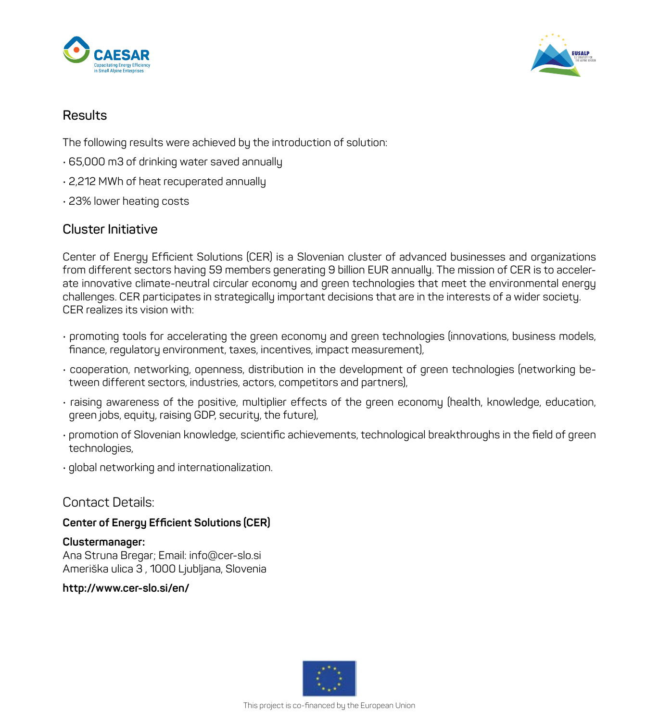



#### **Results**

The following results were achieved by the introduction of solution:

- 65,000 m3 of drinking water saved annually
- 2,212 MWh of heat recuperated annually
- 23% lower heating costs

#### **Cluster Initiative**

Center of Energy Efficient Solutions (CER) is a Slovenian cluster of advanced businesses and organizations from different sectors having 59 members generating 9 billion EUR annually. The mission of CER is to accelerate innovative climate-neutral circular economy and green technologies that meet the environmental energy challenges. CER participates in strategically important decisions that are in the interests of a wider society. CER realizes its vision with:

- promoting tools for accelerating the green economy and green technologies (innovations, business models, finance, regulatory environment, taxes, incentives, impact measurement),
- cooperation, networking, openness, distribution in the development of green technologies (networking between different sectors, industries, actors, competitors and partners),
- raising awareness of the positive, multiplier effects of the green economy (health, knowledge, education, green jobs, equity, raising GDP, security, the future),
- promotion of Slovenian knowledge, scientific achievements, technological breakthroughs in the field of green technologies,
- global networking and internationalization.

#### Contact Details:

#### **Center of Energy Efficient Solutions (CER)**

#### **Clustermanager:**

Ana Struna Bregar; Email: info@cer-slo.si Ameriška ulica 3 , 1000 Ljubljana, Slovenia

**http://www.cer-slo.si/en/**

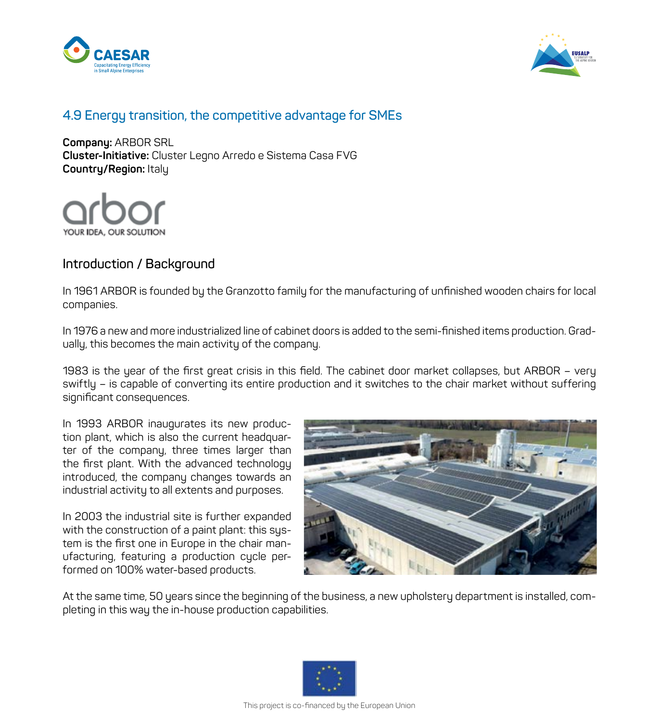



#### **4.9 Energy transition, the competitive advantage for SMEs**

**Company:** ARBOR SRL **Cluster-Initiative:** Cluster Legno Arredo e Sistema Casa FVG **Country/Region:** Italy



#### **Introduction / Background**

In 1961 ARBOR is founded by the Granzotto family for the manufacturing of unfinished wooden chairs for local companies.

In 1976 a new and more industrialized line of cabinet doors is added to the semi-finished items production. Gradually, this becomes the main activity of the company.

1983 is the year of the first great crisis in this field. The cabinet door market collapses, but ARBOR – very swiftly – is capable of converting its entire production and it switches to the chair market without suffering significant consequences.

In 1993 ARBOR inaugurates its new production plant, which is also the current headquarter of the company, three times larger than the first plant. With the advanced technology introduced, the company changes towards an industrial activity to all extents and purposes.

In 2003 the industrial site is further expanded with the construction of a paint plant: this system is the first one in Europe in the chair manufacturing, featuring a production cycle performed on 100% water-based products.



At the same time, 50 years since the beginning of the business, a new upholstery department is installed, completing in this way the in-house production capabilities.

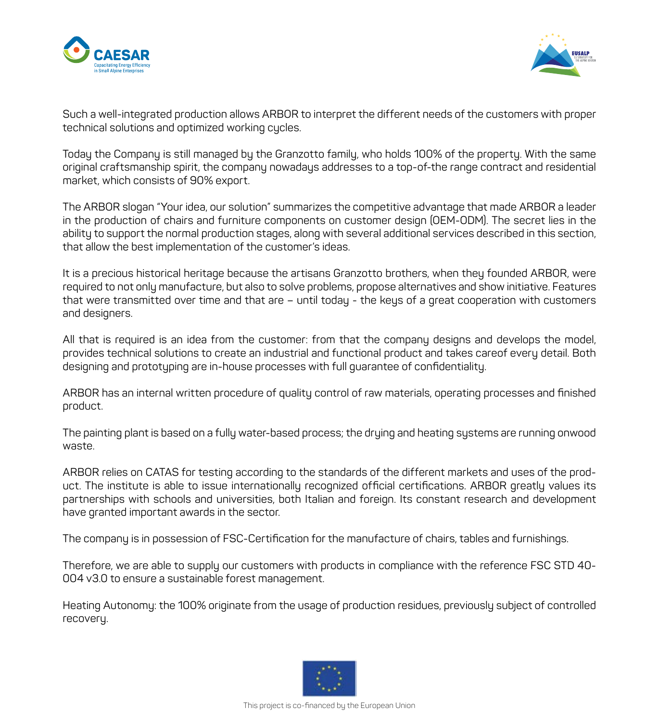



Such a well-integrated production allows ARBOR to interpret the different needs of the customers with proper technical solutions and optimized working cucles.

Today the Company is still managed by the Granzotto family, who holds 100% of the property. With the same original craftsmanship spirit, the company nowadays addresses to a top-of-the range contract and residential market, which consists of 90% export.

The ARBOR slogan "Your idea, our solution" summarizes the competitive advantage that made ARBOR a leader in the production of chairs and furniture components on customer design (OEM-ODM). The secret lies in the ability to support the normal production stages, along with several additional services described in this section, that allow the best implementation of the customer's ideas.

It is a precious historical heritage because the artisans Granzotto brothers, when they founded ARBOR, were required to not only manufacture, but also to solve problems, propose alternatives and show initiative. Features that were transmitted over time and that are – until today - the keys of a great cooperation with customers and designers.

All that is required is an idea from the customer: from that the company designs and develops the model, provides technical solutions to create an industrial and functional product and takes careof every detail. Both designing and prototyping are in-house processes with full guarantee of confidentiality.

ARBOR has an internal written procedure of quality control of raw materials, operating processes and finished product.

The painting plant is based on a fully water-based process; the drying and heating systems are running onwood waste.

ARBOR relies on CATAS for testing according to the standards of the different markets and uses of the product. The institute is able to issue internationally recognized official certifications. ARBOR greatly values its partnerships with schools and universities, both Italian and foreign. Its constant research and development have granted important awards in the sector.

The company is in possession of FSC-Certification for the manufacture of chairs, tables and furnishings.

Therefore, we are able to supply our customers with products in compliance with the reference FSC STD 40- 004 v3.0 to ensure a sustainable forest management.

Heating Autonomy: the 100% originate from the usage of production residues, previously subject of controlled recovery.

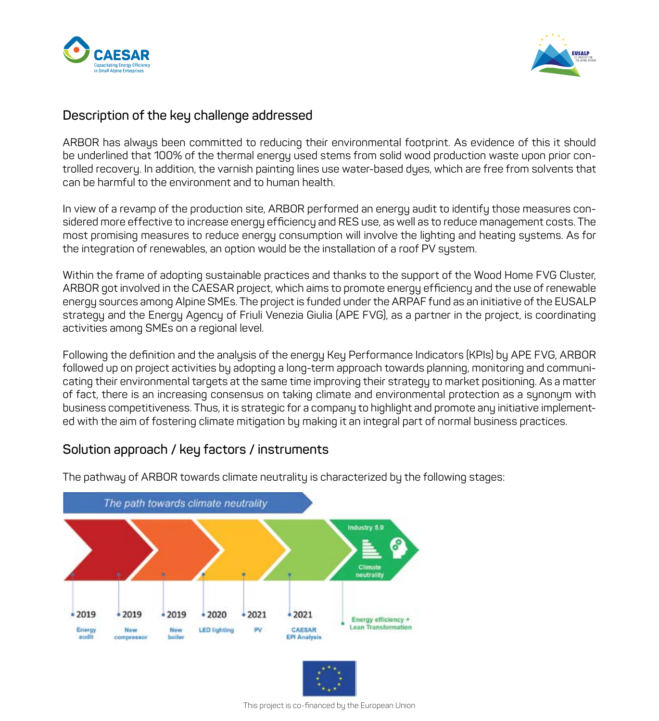



#### **Description of the key challenge addressed**

ARBOR has always been committed to reducing their environmental footprint. As evidence of this it should be underlined that 100% of the thermal energy used stems from solid wood production waste upon prior controlled recovery. In addition, the varnish painting lines use water-based dyes, which are free from solvents that can be harmful to the environment and to human health.

In view of a revamp of the production site, ARBOR performed an energy audit to identify those measures considered more effective to increase energy efficiency and RES use, as well as to reduce management costs. The most promising measures to reduce energy consumption will involve the lighting and heating systems. As for the integration of renewables, an option would be the installation of a roof PV system.

Within the frame of adopting sustainable practices and thanks to the support of the Wood Home FVG Cluster, ARBOR got involved in the CAESAR project, which aims to promote energy efficiency and the use of renewable energy sources among Alpine SMEs. The project is funded under the ARPAF fund as an initiative of the EUSALP strategy and the Energy Agency of Friuli Venezia Giulia (APE FVG), as a partner in the project, is coordinating activities among SMEs on a regional level.

Following the definition and the analysis of the energy Key Performance Indicators (KPIs) by APE FVG, ARBOR followed up on project activities by adopting a long-term approach towards planning, monitoring and communicating their environmental targets at the same time improving their strategy to market positioning. As a matter of fact, there is an increasing consensus on taking climate and environmental protection as a synonym with business competitiveness. Thus, it is strategic for a company to highlight and promote any initiative implemented with the aim of fostering climate mitigation by making it an integral part of normal business practices.

#### **Solution approach / key factors / instruments**



The pathway of ARBOR towards climate neutrality is characterized by the following stages:

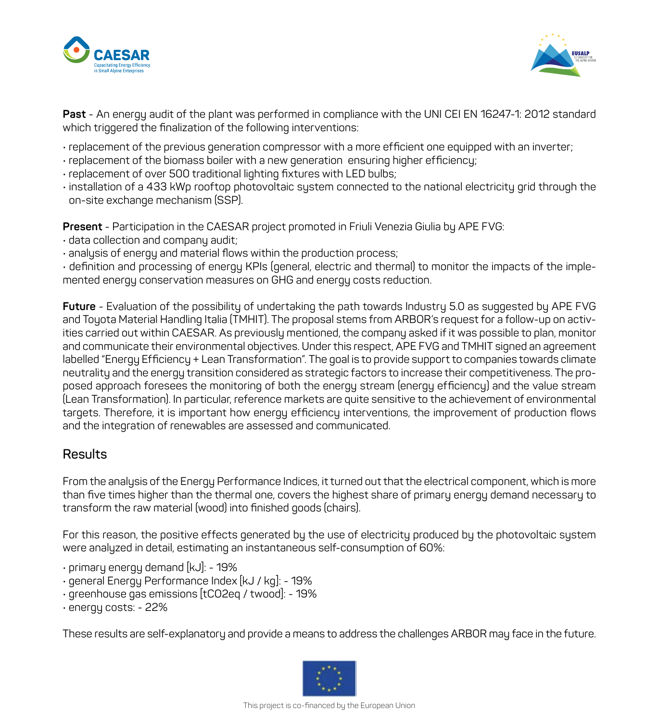



**Past** - An energy audit of the plant was performed in compliance with the UNI CEI EN 16247-1: 2012 standard which triggered the finalization of the following interventions:

- replacement of the previous generation compressor with a more efficient one equipped with an inverter;
- replacement of the biomass boiler with a new generation ensuring higher efficiency;
- replacement of over 500 traditional lighting fixtures with LED bulbs;
- installation of a 433 kWp rooftop photovoltaic system connected to the national electricity grid through the on-site exchange mechanism (SSP).

**Present** - Participation in the CAESAR project promoted in Friuli Venezia Giulia by APE FVG:

- data collection and company audit;
- analysis of energy and material flows within the production process;

• definition and processing of energy KPIs (general, electric and thermal) to monitor the impacts of the implemented energy conservation measures on GHG and energy costs reduction.

**Future** - Evaluation of the possibility of undertaking the path towards Industry 5.0 as suggested by APE FVG and Toyota Material Handling Italia (TMHIT). The proposal stems from ARBOR's request for a follow-up on activities carried out within CAESAR. As previously mentioned, the company asked if it was possible to plan, monitor and communicate their environmental objectives. Under this respect, APE FVG and TMHIT signed an agreement labelled "Energy Efficiency + Lean Transformation". The goal is to provide support to companies towards climate neutrality and the energy transition considered as strategic factors to increase their competitiveness. The proposed approach foresees the monitoring of both the energy stream (energy efficiency) and the value stream (Lean Transformation). In particular, reference markets are quite sensitive to the achievement of environmental targets. Therefore, it is important how energy efficiency interventions, the improvement of production flows and the integration of renewables are assessed and communicated.

#### **Results**

From the analysis of the Energy Performance Indices, it turned out that the electrical component, which is more than five times higher than the thermal one, covers the highest share of primary energy demand necessary to transform the raw material (wood) into finished goods (chairs).

For this reason, the positive effects generated by the use of electricity produced by the photovoltaic system were analyzed in detail, estimating an instantaneous self-consumption of 60%:

- $\cdot$  primary energy demand [kJ]: 19%
- general Energy Performance Index [kJ / kg]: 19%
- greenhouse gas emissions [tCO2eq / twood]: 19%
- energy costs: 22%

These results are self-explanatory and provide a means to address the challenges ARBOR may face in the future.

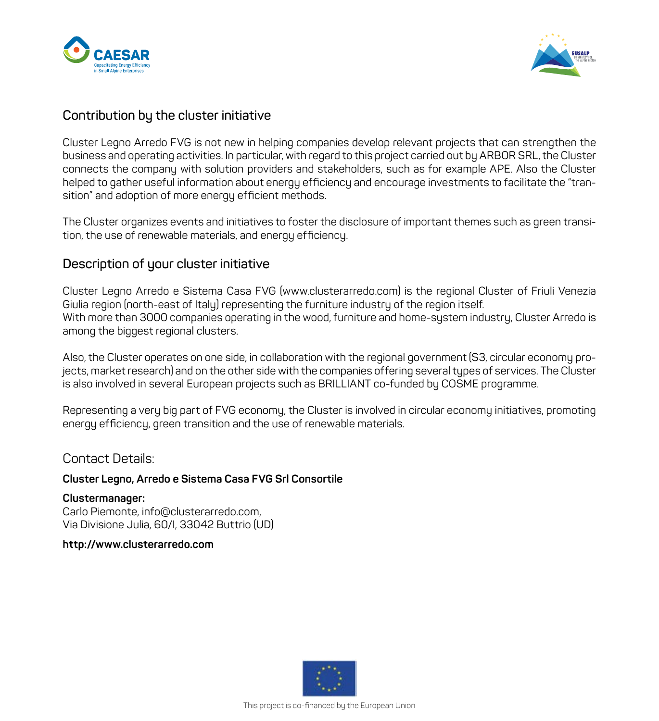



#### **Contribution by the cluster initiative**

Cluster Legno Arredo FVG is not new in helping companies develop relevant projects that can strengthen the business and operating activities. In particular, with regard to this project carried out by ARBOR SRL, the Cluster connects the company with solution providers and stakeholders, such as for example APE. Also the Cluster helped to gather useful information about energy efficiency and encourage investments to facilitate the "transition" and adoption of more energy efficient methods.

The Cluster organizes events and initiatives to foster the disclosure of important themes such as green transition, the use of renewable materials, and energy efficiency.

#### **Description of your cluster initiative**

Cluster Legno Arredo e Sistema Casa FVG (www.clusterarredo.com) is the regional Cluster of Friuli Venezia Giulia region (north-east of Italy) representing the furniture industry of the region itself. With more than 3000 companies operating in the wood, furniture and home-system industry, Cluster Arredo is among the biggest regional clusters.

Also, the Cluster operates on one side, in collaboration with the regional government (S3, circular economy projects, market research) and on the other side with the companies offering several types of services. The Cluster is also involved in several European projects such as BRILLIANT co-funded by COSME programme.

Representing a very big part of FVG economy, the Cluster is involved in circular economy initiatives, promoting energy efficiency, green transition and the use of renewable materials.

Contact Details:

#### **Cluster Legno, Arredo e Sistema Casa FVG Srl Consortile**

**Clustermanager:** Carlo Piemonte, info@clusterarredo.com, Via Divisione Julia, 60/I, 33042 Buttrio (UD)

#### **http://www.clusterarredo.com**

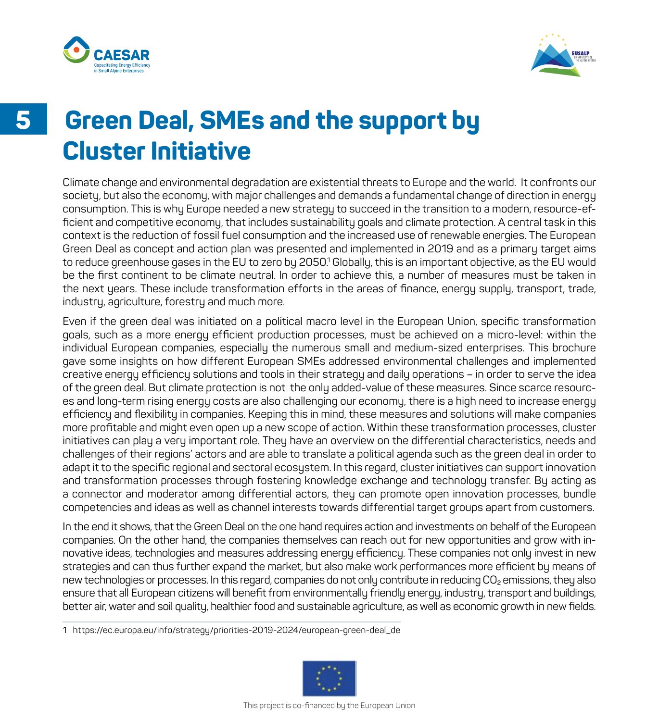



## **Green Deal, SMEs and the support by Cluster Initiative**

Climate change and environmental degradation are existential threats to Europe and the world. It confronts our society, but also the economy, with major challenges and demands a fundamental change of direction in energy consumption. This is why Europe needed a new strategy to succeed in the transition to a modern, resource-efficient and competitive economy, that includes sustainability goals and climate protection. A central task in this context is the reduction of fossil fuel consumption and the increased use of renewable energies. The European Green Deal as concept and action plan was presented and implemented in 2019 and as a primary target aims to reduce greenhouse gases in the EU to zero by 2050.<sup>1</sup> Globally, this is an important objective, as the EU would be the first continent to be climate neutral. In order to achieve this, a number of measures must be taken in the next years. These include transformation efforts in the areas of finance, energy supply, transport, trade, industry, agriculture, forestry and much more.

Even if the green deal was initiated on a political macro level in the European Union, specific transformation goals, such as a more energy efficient production processes, must be achieved on a micro-level: within the individual European companies, especially the numerous small and medium-sized enterprises. This brochure gave some insights on how different European SMEs addressed environmental challenges and implemented creative energy efficiency solutions and tools in their strategy and daily operations – in order to serve the idea of the green deal. But climate protection is not the only added-value of these measures. Since scarce resources and long-term rising energy costs are also challenging our economy, there is a high need to increase energy efficiency and flexibility in companies. Keeping this in mind, these measures and solutions will make companies more profitable and might even open up a new scope of action. Within these transformation processes, cluster initiatives can play a very important role. They have an overview on the differential characteristics, needs and challenges of their regions' actors and are able to translate a political agenda such as the green deal in order to adapt it to the specific regional and sectoral ecosystem. In this regard, cluster initiatives can support innovation and transformation processes through fostering knowledge exchange and technology transfer. By acting as a connector and moderator among differential actors, they can promote open innovation processes, bundle competencies and ideas as well as channel interests towards differential target groups apart from customers.

In the end it shows, that the Green Deal on the one hand requires action and investments on behalf of the European companies. On the other hand, the companies themselves can reach out for new opportunities and grow with innovative ideas, technologies and measures addressing energy efficiency. These companies not only invest in new strategies and can thus further expand the market, but also make work performances more efficient by means of new technologies or processes. In this regard, companies do not only contribute in reducing CO<sub>2</sub> emissions, they also ensure that all European citizens will benefit from environmentally friendly energy, industry, transport and buildings, better air, water and soil quality, healthier food and sustainable agriculture, as well as economic growth in new fields.

1 https://ec.europa.eu/info/strategy/priorities-2019-2024/european-green-deal\_de